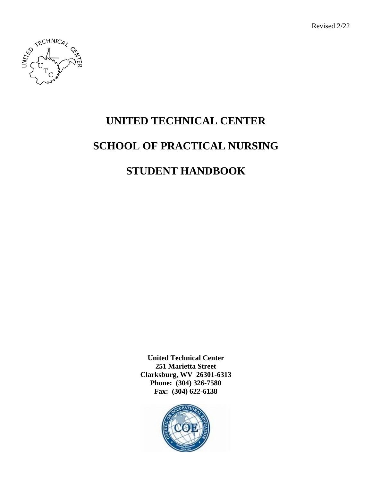Revised 2/22



# **UNITED TECHNICAL CENTER SCHOOL OF PRACTICAL NURSING STUDENT HANDBOOK**

**United Technical Center 251 Marietta Street Clarksburg, WV 26301-6313 Phone: (304) 326-7580 Fax: (304) 622-6138**

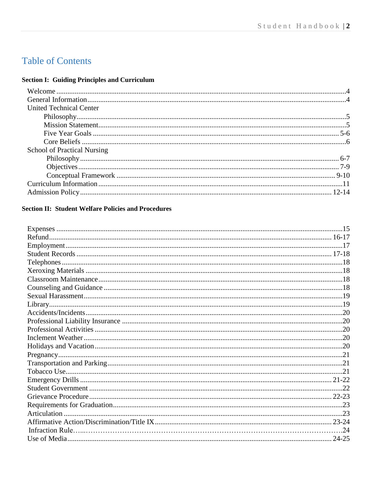## **Table of Contents**

## **Section I: Guiding Principles and Curriculum**

| <b>United Technical Center</b>     |  |
|------------------------------------|--|
|                                    |  |
|                                    |  |
|                                    |  |
|                                    |  |
| <b>School of Practical Nursing</b> |  |
|                                    |  |
|                                    |  |
|                                    |  |
|                                    |  |
|                                    |  |
|                                    |  |

## **Section II: Student Welfare Policies and Procedures**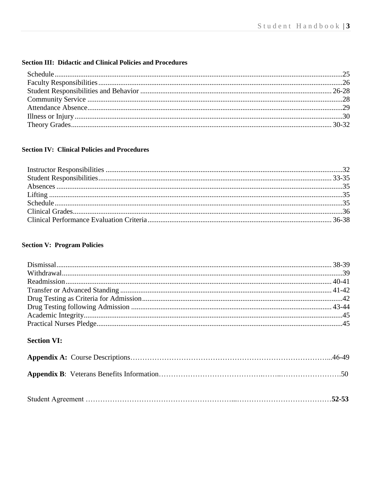## **Section III: Didactic and Clinical Policies and Procedures**

## **Section IV: Clinical Policies and Procedures**

## **Section V: Program Policies**

## **Section VI:**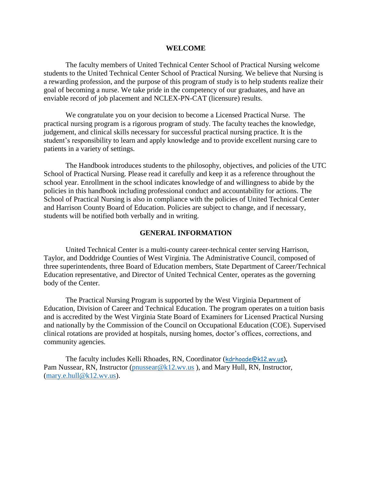#### **WELCOME**

The faculty members of United Technical Center School of Practical Nursing welcome students to the United Technical Center School of Practical Nursing. We believe that Nursing is a rewarding profession, and the purpose of this program of study is to help students realize their goal of becoming a nurse. We take pride in the competency of our graduates, and have an enviable record of job placement and NCLEX-PN-CAT (licensure) results.

We congratulate you on your decision to become a Licensed Practical Nurse. The practical nursing program is a rigorous program of study. The faculty teaches the knowledge, judgement, and clinical skills necessary for successful practical nursing practice. It is the student's responsibility to learn and apply knowledge and to provide excellent nursing care to patients in a variety of settings.

The Handbook introduces students to the philosophy, objectives, and policies of the UTC School of Practical Nursing. Please read it carefully and keep it as a reference throughout the school year. Enrollment in the school indicates knowledge of and willingness to abide by the policies in this handbook including professional conduct and accountability for actions. The School of Practical Nursing is also in compliance with the policies of United Technical Center and Harrison County Board of Education. Policies are subject to change, and if necessary, students will be notified both verbally and in writing.

#### **GENERAL INFORMATION**

United Technical Center is a multi-county career-technical center serving Harrison, Taylor, and Doddridge Counties of West Virginia. The Administrative Council, composed of three superintendents, three Board of Education members, State Department of Career/Technical Education representative, and Director of United Technical Center, operates as the governing body of the Center.

The Practical Nursing Program is supported by the West Virginia Department of Education, Division of Career and Technical Education. The program operates on a tuition basis and is accredited by the West Virginia State Board of Examiners for Licensed Practical Nursing and nationally by the Commission of the Council on Occupational Education (COE). Supervised clinical rotations are provided at hospitals, nursing homes, doctor's offices, corrections, and community agencies.

The faculty includes Kelli Rhoades, RN, Coordinator ([kdrhoade@k12.wv.us\)](mailto:kdrhoade@k12.wv.us), Pam Nussear, RN, Instructor (*pnussear@k12.wv.us*), and Mary Hull, RN, Instructor, [\(mary.e.hull@k12.wv.us\)](mailto:mary.e.hull@k12.wv.us).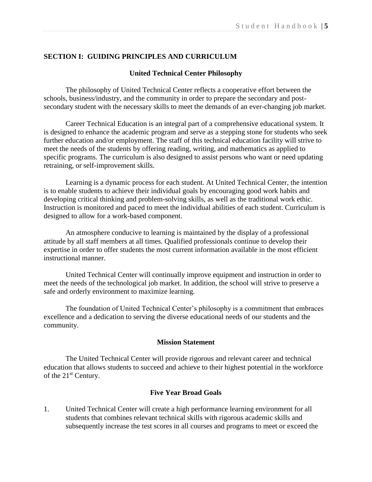## **SECTION I: GUIDING PRINCIPLES AND CURRICULUM**

## **United Technical Center Philosophy**

The philosophy of United Technical Center reflects a cooperative effort between the schools, business/industry, and the community in order to prepare the secondary and postsecondary student with the necessary skills to meet the demands of an ever-changing job market.

Career Technical Education is an integral part of a comprehensive educational system. It is designed to enhance the academic program and serve as a stepping stone for students who seek further education and/or employment. The staff of this technical education facility will strive to meet the needs of the students by offering reading, writing, and mathematics as applied to specific programs. The curriculum is also designed to assist persons who want or need updating retraining, or self-improvement skills.

Learning is a dynamic process for each student. At United Technical Center, the intention is to enable students to achieve their individual goals by encouraging good work habits and developing critical thinking and problem-solving skills, as well as the traditional work ethic. Instruction is monitored and paced to meet the individual abilities of each student. Curriculum is designed to allow for a work-based component.

An atmosphere conducive to learning is maintained by the display of a professional attitude by all staff members at all times. Qualified professionals continue to develop their expertise in order to offer students the most current information available in the most efficient instructional manner.

United Technical Center will continually improve equipment and instruction in order to meet the needs of the technological job market. In addition, the school will strive to preserve a safe and orderly environment to maximize learning.

The foundation of United Technical Center's philosophy is a commitment that embraces excellence and a dedication to serving the diverse educational needs of our students and the community.

### **Mission Statement**

The United Technical Center will provide rigorous and relevant career and technical education that allows students to succeed and achieve to their highest potential in the workforce of the 21<sup>st</sup> Century.

## **Five Year Broad Goals**

1. United Technical Center will create a high performance learning environment for all students that combines relevant technical skills with rigorous academic skills and subsequently increase the test scores in all courses and programs to meet or exceed the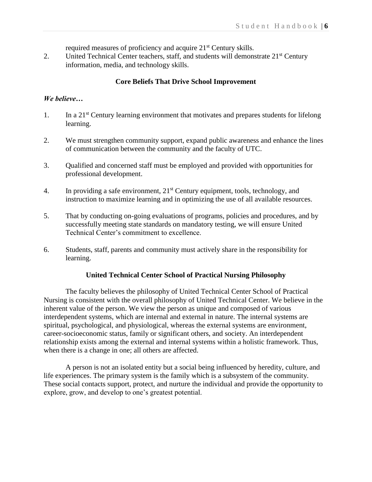required measures of proficiency and acquire 21<sup>st</sup> Century skills.

2. United Technical Center teachers, staff, and students will demonstrate 21<sup>st</sup> Century information, media, and technology skills.

## **Core Beliefs That Drive School Improvement**

## *We believe…*

- 1. In a 21st Century learning environment that motivates and prepares students for lifelong learning.
- 2. We must strengthen community support, expand public awareness and enhance the lines of communication between the community and the faculty of UTC.
- 3. Qualified and concerned staff must be employed and provided with opportunities for professional development.
- 4. In providing a safe environment,  $21<sup>st</sup>$  Century equipment, tools, technology, and instruction to maximize learning and in optimizing the use of all available resources.
- 5. That by conducting on-going evaluations of programs, policies and procedures, and by successfully meeting state standards on mandatory testing, we will ensure United Technical Center's commitment to excellence.
- 6. Students, staff, parents and community must actively share in the responsibility for learning.

## **United Technical Center School of Practical Nursing Philosophy**

The faculty believes the philosophy of United Technical Center School of Practical Nursing is consistent with the overall philosophy of United Technical Center. We believe in the inherent value of the person. We view the person as unique and composed of various interdependent systems, which are internal and external in nature. The internal systems are spiritual, psychological, and physiological, whereas the external systems are environment, career-socioeconomic status, family or significant others, and society. An interdependent relationship exists among the external and internal systems within a holistic framework. Thus, when there is a change in one; all others are affected.

A person is not an isolated entity but a social being influenced by heredity, culture, and life experiences. The primary system is the family which is a subsystem of the community. These social contacts support, protect, and nurture the individual and provide the opportunity to explore, grow, and develop to one's greatest potential.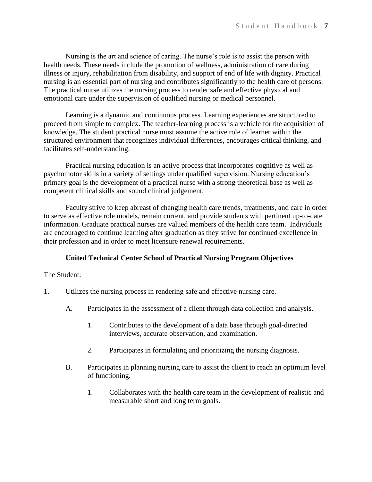Nursing is the art and science of caring. The nurse's role is to assist the person with health needs. These needs include the promotion of wellness, administration of care during illness or injury, rehabilitation from disability, and support of end of life with dignity. Practical nursing is an essential part of nursing and contributes significantly to the health care of persons. The practical nurse utilizes the nursing process to render safe and effective physical and emotional care under the supervision of qualified nursing or medical personnel.

Learning is a dynamic and continuous process. Learning experiences are structured to proceed from simple to complex. The teacher-learning process is a vehicle for the acquisition of knowledge. The student practical nurse must assume the active role of learner within the structured environment that recognizes individual differences, encourages critical thinking, and facilitates self-understanding.

Practical nursing education is an active process that incorporates cognitive as well as psychomotor skills in a variety of settings under qualified supervision. Nursing education's primary goal is the development of a practical nurse with a strong theoretical base as well as competent clinical skills and sound clinical judgement.

Faculty strive to keep abreast of changing health care trends, treatments, and care in order to serve as effective role models, remain current, and provide students with pertinent up-to-date information. Graduate practical nurses are valued members of the health care team. Individuals are encouraged to continue learning after graduation as they strive for continued excellence in their profession and in order to meet licensure renewal requirements.

## **United Technical Center School of Practical Nursing Program Objectives**

## The Student:

- 1. Utilizes the nursing process in rendering safe and effective nursing care.
	- A. Participates in the assessment of a client through data collection and analysis.
		- 1. Contributes to the development of a data base through goal-directed interviews, accurate observation, and examination.
		- 2. Participates in formulating and prioritizing the nursing diagnosis.
	- B. Participates in planning nursing care to assist the client to reach an optimum level of functioning.
		- 1. Collaborates with the health care team in the development of realistic and measurable short and long term goals.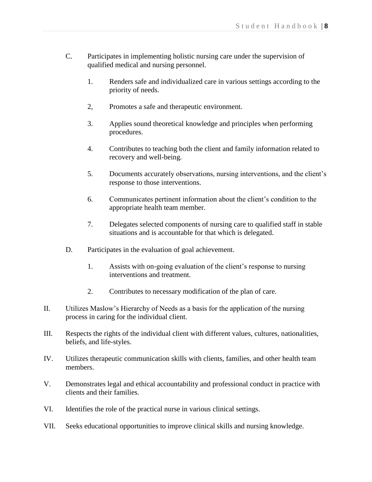- C. Participates in implementing holistic nursing care under the supervision of qualified medical and nursing personnel.
	- 1. Renders safe and individualized care in various settings according to the priority of needs.
	- 2, Promotes a safe and therapeutic environment.
	- 3. Applies sound theoretical knowledge and principles when performing procedures.
	- 4. Contributes to teaching both the client and family information related to recovery and well-being.
	- 5. Documents accurately observations, nursing interventions, and the client's response to those interventions.
	- 6. Communicates pertinent information about the client's condition to the appropriate health team member.
	- 7. Delegates selected components of nursing care to qualified staff in stable situations and is accountable for that which is delegated.
- D. Participates in the evaluation of goal achievement.
	- 1. Assists with on-going evaluation of the client's response to nursing interventions and treatment.
	- 2. Contributes to necessary modification of the plan of care.
- II. Utilizes Maslow's Hierarchy of Needs as a basis for the application of the nursing process in caring for the individual client.
- III. Respects the rights of the individual client with different values, cultures, nationalities, beliefs, and life-styles.
- IV. Utilizes therapeutic communication skills with clients, families, and other health team members.
- V. Demonstrates legal and ethical accountability and professional conduct in practice with clients and their families.
- VI. Identifies the role of the practical nurse in various clinical settings.
- VII. Seeks educational opportunities to improve clinical skills and nursing knowledge.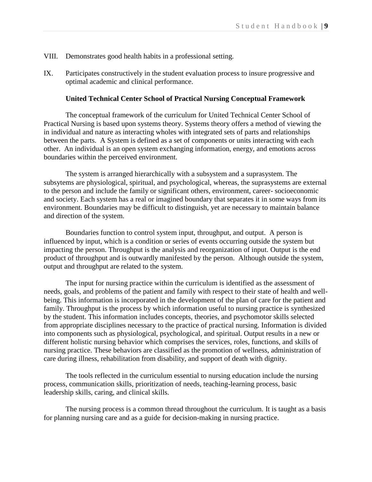- VIII. Demonstrates good health habits in a professional setting.
- IX. Participates constructively in the student evaluation process to insure progressive and optimal academic and clinical performance.

#### **United Technical Center School of Practical Nursing Conceptual Framework**

The conceptual framework of the curriculum for United Technical Center School of Practical Nursing is based upon systems theory. Systems theory offers a method of viewing the in individual and nature as interacting wholes with integrated sets of parts and relationships between the parts. A System is defined as a set of components or units interacting with each other. An individual is an open system exchanging information, energy, and emotions across boundaries within the perceived environment.

The system is arranged hierarchically with a subsystem and a suprasystem. The subsytems are physiological, spiritual, and psychological, whereas, the suprasystems are external to the person and include the family or significant others, environment, career- socioeconomic and society. Each system has a real or imagined boundary that separates it in some ways from its environment. Boundaries may be difficult to distinguish, yet are necessary to maintain balance and direction of the system.

Boundaries function to control system input, throughput, and output. A person is influenced by input, which is a condition or series of events occurring outside the system but impacting the person. Throughput is the analysis and reorganization of input. Output is the end product of throughput and is outwardly manifested by the person. Although outside the system, output and throughput are related to the system.

The input for nursing practice within the curriculum is identified as the assessment of needs, goals, and problems of the patient and family with respect to their state of health and wellbeing. This information is incorporated in the development of the plan of care for the patient and family. Throughput is the process by which information useful to nursing practice is synthesized by the student. This information includes concepts, theories, and psychomotor skills selected from appropriate disciplines necessary to the practice of practical nursing. Information is divided into components such as physiological, psychological, and spiritual. Output results in a new or different holistic nursing behavior which comprises the services, roles, functions, and skills of nursing practice. These behaviors are classified as the promotion of wellness, administration of care during illness, rehabilitation from disability, and support of death with dignity.

The tools reflected in the curriculum essential to nursing education include the nursing process, communication skills, prioritization of needs, teaching-learning process, basic leadership skills, caring, and clinical skills.

The nursing process is a common thread throughout the curriculum. It is taught as a basis for planning nursing care and as a guide for decision-making in nursing practice.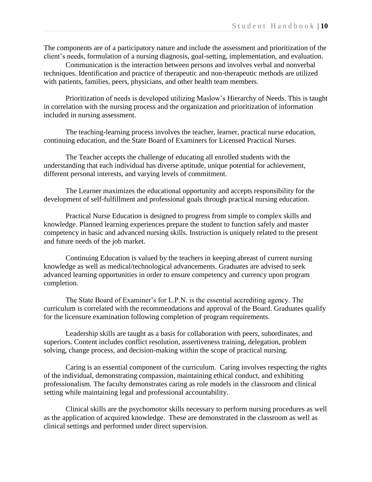The components are of a participatory nature and include the assessment and prioritization of the client's needs, formulation of a nursing diagnosis, goal-setting, implementation, and evaluation.

Communication is the interaction between persons and involves verbal and nonverbal techniques. Identification and practice of therapeutic and non-therapeutic methods are utilized with patients, families, peers, physicians, and other health team members.

Prioritization of needs is developed utilizing Maslow's Hierarchy of Needs. This is taught in correlation with the nursing process and the organization and prioritization of information included in nursing assessment.

The teaching-learning process involves the teacher, learner, practical nurse education, continuing education, and the State Board of Examiners for Licensed Practical Nurses.

The Teacher accepts the challenge of educating all enrolled students with the understanding that each individual has diverse aptitude, unique potential for achievement, different personal interests, and varying levels of commitment.

The Learner maximizes the educational opportunity and accepts responsibility for the development of self-fulfillment and professional goals through practical nursing education.

Practical Nurse Education is designed to progress from simple to complex skills and knowledge. Planned learning experiences prepare the student to function safely and master competency in basic and advanced nursing skills. Instruction is uniquely related to the present and future needs of the job market.

Continuing Education is valued by the teachers in keeping abreast of current nursing knowledge as well as medical/technological advancements. Graduates are advised to seek advanced learning opportunities in order to ensure competency and currency upon program completion.

The State Board of Examiner's for L.P.N. is the essential accrediting agency. The curriculum is correlated with the recommendations and approval of the Board. Graduates qualify for the licensure examination following completion of program requirements.

Leadership skills are taught as a basis for collaboration with peers, subordinates, and superiors. Content includes conflict resolution, assertiveness training, delegation, problem solving, change process, and decision-making within the scope of practical nursing.

Caring is an essential component of the curriculum. Caring involves respecting the rights of the individual, demonstrating compassion, maintaining ethical conduct, and exhibiting professionalism. The faculty demonstrates caring as role models in the classroom and clinical setting while maintaining legal and professional accountability.

Clinical skills are the psychomotor skills necessary to perform nursing procedures as well as the application of acquired knowledge. These are demonstrated in the classroom as well as clinical settings and performed under direct supervision.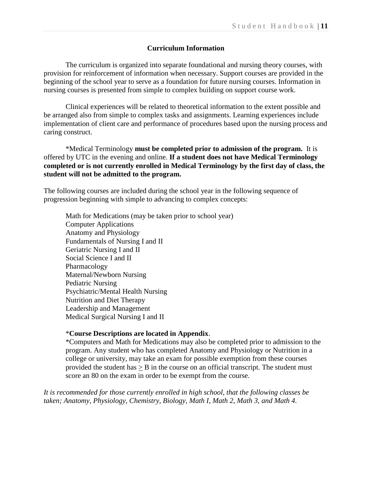### **Curriculum Information**

The curriculum is organized into separate foundational and nursing theory courses, with provision for reinforcement of information when necessary. Support courses are provided in the beginning of the school year to serve as a foundation for future nursing courses. Information in nursing courses is presented from simple to complex building on support course work.

Clinical experiences will be related to theoretical information to the extent possible and be arranged also from simple to complex tasks and assignments. Learning experiences include implementation of client care and performance of procedures based upon the nursing process and caring construct.

\*Medical Terminology **must be completed prior to admission of the program.** It is offered by UTC in the evening and online. **If a student does not have Medical Terminology completed or is not currently enrolled in Medical Terminology by the first day of class, the student will not be admitted to the program.**

The following courses are included during the school year in the following sequence of progression beginning with simple to advancing to complex concepts:

Math for Medications (may be taken prior to school year) Computer Applications Anatomy and Physiology Fundamentals of Nursing I and II Geriatric Nursing I and II Social Science I and II Pharmacology Maternal/Newborn Nursing Pediatric Nursing Psychiatric/Mental Health Nursing Nutrition and Diet Therapy Leadership and Management Medical Surgical Nursing I and II

## \***Course Descriptions are located in Appendix**.

\*Computers and Math for Medications may also be completed prior to admission to the program. Any student who has completed Anatomy and Physiology or Nutrition in a college or university, may take an exam for possible exemption from these courses provided the student has  $>$  B in the course on an official transcript. The student must score an 80 on the exam in order to be exempt from the course.

*It is recommended for those currently enrolled in high school, that the following classes be taken; Anatomy, Physiology, Chemistry, Biology, Math I, Math 2, Math 3, and Math 4.*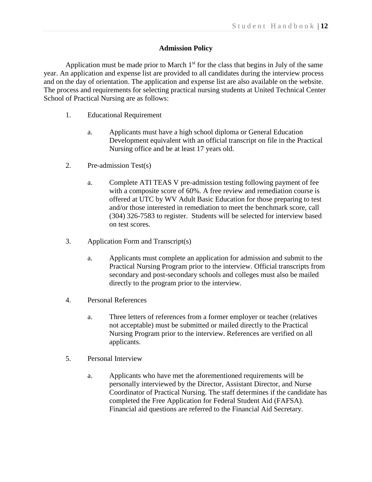## **Admission Policy**

Application must be made prior to March  $1<sup>st</sup>$  for the class that begins in July of the same year. An application and expense list are provided to all candidates during the interview process and on the day of orientation. The application and expense list are also available on the website. The process and requirements for selecting practical nursing students at United Technical Center School of Practical Nursing are as follows:

- 1. Educational Requirement
	- a. Applicants must have a high school diploma or General Education Development equivalent with an official transcript on file in the Practical Nursing office and be at least 17 years old.
- 2. Pre-admission Test(s)
	- a. Complete ATI TEAS V pre-admission testing following payment of fee with a composite score of 60%. A free review and remediation course is offered at UTC by WV Adult Basic Education for those preparing to test and/or those interested in remediation to meet the benchmark score, call (304) 326-7583 to register. Students will be selected for interview based on test scores.
- 3. Application Form and Transcript(s)
	- a. Applicants must complete an application for admission and submit to the Practical Nursing Program prior to the interview. Official transcripts from secondary and post-secondary schools and colleges must also be mailed directly to the program prior to the interview.
- 4. Personal References
	- a. Three letters of references from a former employer or teacher (relatives not acceptable) must be submitted or mailed directly to the Practical Nursing Program prior to the interview. References are verified on all applicants.
- 5. Personal Interview
	- a. Applicants who have met the aforementioned requirements will be personally interviewed by the Director, Assistant Director, and Nurse Coordinator of Practical Nursing. The staff determines if the candidate has completed the Free Application for Federal Student Aid (FAFSA). Financial aid questions are referred to the Financial Aid Secretary.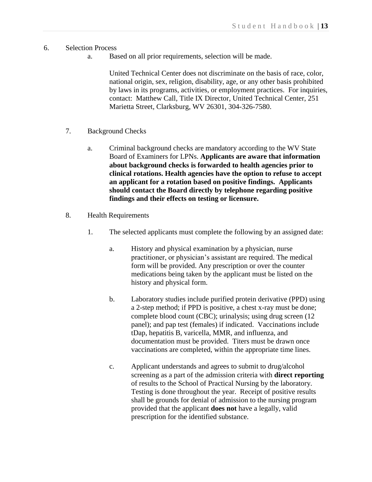## 6. Selection Process

a. Based on all prior requirements, selection will be made.

United Technical Center does not discriminate on the basis of race, color, national origin, sex, religion, disability, age, or any other basis prohibited by laws in its programs, activities, or employment practices. For inquiries, contact: Matthew Call, Title IX Director, United Technical Center, 251 Marietta Street, Clarksburg, WV 26301, 304-326-7580.

- 7. Background Checks
	- a. Criminal background checks are mandatory according to the WV State Board of Examiners for LPNs. **Applicants are aware that information about background checks is forwarded to health agencies prior to clinical rotations. Health agencies have the option to refuse to accept an applicant for a rotation based on positive findings. Applicants should contact the Board directly by telephone regarding positive findings and their effects on testing or licensure.**
- 8. Health Requirements
	- 1. The selected applicants must complete the following by an assigned date:
		- a. History and physical examination by a physician, nurse practitioner, or physician's assistant are required. The medical form will be provided. Any prescription or over the counter medications being taken by the applicant must be listed on the history and physical form.
		- b. Laboratory studies include purified protein derivative (PPD) using a 2-step method; if PPD is positive, a chest x-ray must be done; complete blood count (CBC); urinalysis; using drug screen (12 panel); and pap test (females) if indicated. Vaccinations include tDap, hepatitis B, varicella, MMR, and influenza, and documentation must be provided. Titers must be drawn once vaccinations are completed, within the appropriate time lines.
		- c. Applicant understands and agrees to submit to drug/alcohol screening as a part of the admission criteria with **direct reporting**  of results to the School of Practical Nursing by the laboratory. Testing is done throughout the year. Receipt of positive results shall be grounds for denial of admission to the nursing program provided that the applicant **does not** have a legally, valid prescription for the identified substance.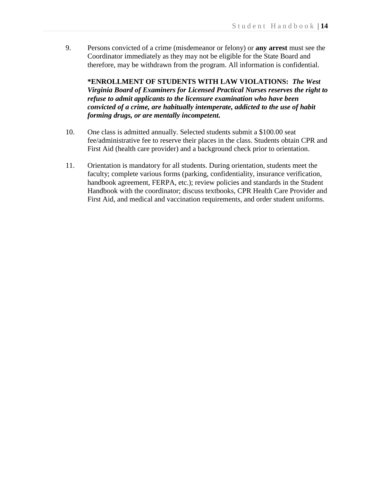9. Persons convicted of a crime (misdemeanor or felony) or **any arrest** must see the Coordinator immediately as they may not be eligible for the State Board and therefore, may be withdrawn from the program. All information is confidential.

**\*ENROLLMENT OF STUDENTS WITH LAW VIOLATIONS:** *The West Virginia Board of Examiners for Licensed Practical Nurses reserves the right to refuse to admit applicants to the licensure examination who have been convicted of a crime, are habitually intemperate, addicted to the use of habit forming drugs, or are mentally incompetent.*

- 10. One class is admitted annually. Selected students submit a \$100.00 seat fee/administrative fee to reserve their places in the class. Students obtain CPR and First Aid (health care provider) and a background check prior to orientation.
- 11. Orientation is mandatory for all students. During orientation, students meet the faculty; complete various forms (parking, confidentiality, insurance verification, handbook agreement, FERPA, etc.); review policies and standards in the Student Handbook with the coordinator; discuss textbooks, CPR Health Care Provider and First Aid, and medical and vaccination requirements, and order student uniforms.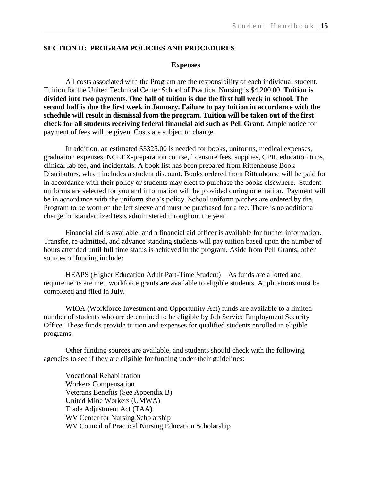## **SECTION II: PROGRAM POLICIES AND PROCEDURES**

#### **Expenses**

All costs associated with the Program are the responsibility of each individual student. Tuition for the United Technical Center School of Practical Nursing is \$4,200.00. **Tuition is divided into two payments. One half of tuition is due the first full week in school. The second half is due the first week in January. Failure to pay tuition in accordance with the schedule will result in dismissal from the program. Tuition will be taken out of the first check for all students receiving federal financial aid such as Pell Grant.** Ample notice for payment of fees will be given. Costs are subject to change.

In addition, an estimated \$3325.00 is needed for books, uniforms, medical expenses, graduation expenses, NCLEX-preparation course, licensure fees, supplies, CPR, education trips, clinical lab fee, and incidentals. A book list has been prepared from Rittenhouse Book Distributors, which includes a student discount. Books ordered from Rittenhouse will be paid for in accordance with their policy or students may elect to purchase the books elsewhere. Student uniforms are selected for you and information will be provided during orientation. Payment will be in accordance with the uniform shop's policy. School uniform patches are ordered by the Program to be worn on the left sleeve and must be purchased for a fee. There is no additional charge for standardized tests administered throughout the year.

Financial aid is available, and a financial aid officer is available for further information. Transfer, re-admitted, and advance standing students will pay tuition based upon the number of hours attended until full time status is achieved in the program. Aside from Pell Grants, other sources of funding include:

HEAPS (Higher Education Adult Part-Time Student) – As funds are allotted and requirements are met, workforce grants are available to eligible students. Applications must be completed and filed in July.

WIOA (Workforce Investment and Opportunity Act) funds are available to a limited number of students who are determined to be eligible by Job Service Employment Security Office. These funds provide tuition and expenses for qualified students enrolled in eligible programs.

Other funding sources are available, and students should check with the following agencies to see if they are eligible for funding under their guidelines:

Vocational Rehabilitation Workers Compensation Veterans Benefits (See Appendix B) United Mine Workers (UMWA) Trade Adjustment Act (TAA) WV Center for Nursing Scholarship WV Council of Practical Nursing Education Scholarship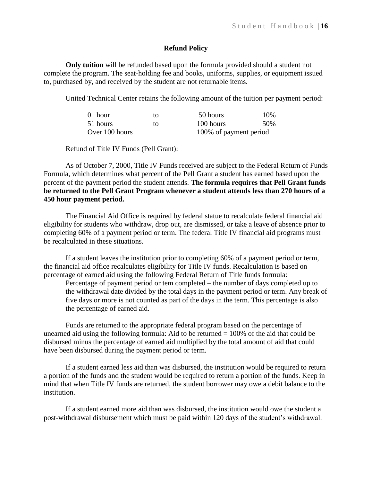## **Refund Policy**

**Only tuition** will be refunded based upon the formula provided should a student not complete the program. The seat-holding fee and books, uniforms, supplies, or equipment issued to, purchased by, and received by the student are not returnable items.

United Technical Center retains the following amount of the tuition per payment period:

| $0$ hour       | tΩ | 50 hours               | 10\% |
|----------------|----|------------------------|------|
| 51 hours       | īΩ | 100 hours              | .50% |
| Over 100 hours |    | 100% of payment period |      |

Refund of Title IV Funds (Pell Grant):

As of October 7, 2000, Title IV Funds received are subject to the Federal Return of Funds Formula, which determines what percent of the Pell Grant a student has earned based upon the percent of the payment period the student attends. **The formula requires that Pell Grant funds be returned to the Pell Grant Program whenever a student attends less than 270 hours of a 450 hour payment period.**

The Financial Aid Office is required by federal statue to recalculate federal financial aid eligibility for students who withdraw, drop out, are dismissed, or take a leave of absence prior to completing 60% of a payment period or term. The federal Title IV financial aid programs must be recalculated in these situations.

If a student leaves the institution prior to completing 60% of a payment period or term, the financial aid office recalculates eligibility for Title IV funds. Recalculation is based on percentage of earned aid using the following Federal Return of Title funds formula:

Percentage of payment period or tem completed – the number of days completed up to the withdrawal date divided by the total days in the payment period or term. Any break of five days or more is not counted as part of the days in the term. This percentage is also the percentage of earned aid.

Funds are returned to the appropriate federal program based on the percentage of unearned aid using the following formula: Aid to be returned  $= 100\%$  of the aid that could be disbursed minus the percentage of earned aid multiplied by the total amount of aid that could have been disbursed during the payment period or term.

If a student earned less aid than was disbursed, the institution would be required to return a portion of the funds and the student would be required to return a portion of the funds. Keep in mind that when Title IV funds are returned, the student borrower may owe a debit balance to the institution.

If a student earned more aid than was disbursed, the institution would owe the student a post-withdrawal disbursement which must be paid within 120 days of the student's withdrawal.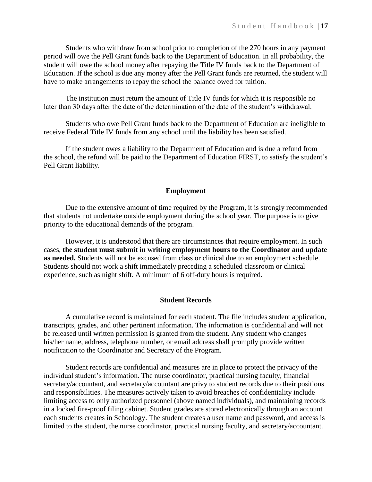Students who withdraw from school prior to completion of the 270 hours in any payment period will owe the Pell Grant funds back to the Department of Education. In all probability, the student will owe the school money after repaying the Title IV funds back to the Department of Education. If the school is due any money after the Pell Grant funds are returned, the student will have to make arrangements to repay the school the balance owed for tuition.

The institution must return the amount of Title IV funds for which it is responsible no later than 30 days after the date of the determination of the date of the student's withdrawal.

Students who owe Pell Grant funds back to the Department of Education are ineligible to receive Federal Title IV funds from any school until the liability has been satisfied.

If the student owes a liability to the Department of Education and is due a refund from the school, the refund will be paid to the Department of Education FIRST, to satisfy the student's Pell Grant liability.

### **Employment**

Due to the extensive amount of time required by the Program, it is strongly recommended that students not undertake outside employment during the school year. The purpose is to give priority to the educational demands of the program.

However, it is understood that there are circumstances that require employment. In such cases, **the student must submit in writing employment hours to the Coordinator and update as needed.** Students will not be excused from class or clinical due to an employment schedule. Students should not work a shift immediately preceding a scheduled classroom or clinical experience, such as night shift. A minimum of 6 off-duty hours is required.

### **Student Records**

A cumulative record is maintained for each student. The file includes student application, transcripts, grades, and other pertinent information. The information is confidential and will not be released until written permission is granted from the student. Any student who changes his/her name, address, telephone number, or email address shall promptly provide written notification to the Coordinator and Secretary of the Program.

Student records are confidential and measures are in place to protect the privacy of the individual student's information. The nurse coordinator, practical nursing faculty, financial secretary/accountant, and secretary/accountant are privy to student records due to their positions and responsibilities. The measures actively taken to avoid breaches of confidentiality include limiting access to only authorized personnel (above named individuals), and maintaining records in a locked fire-proof filing cabinet. Student grades are stored electronically through an account each students creates in Schoology. The student creates a user name and password, and access is limited to the student, the nurse coordinator, practical nursing faculty, and secretary/accountant.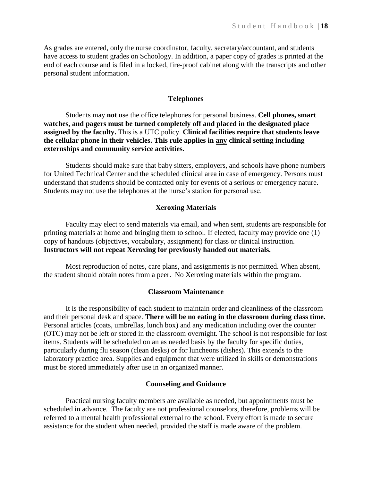As grades are entered, only the nurse coordinator, faculty, secretary/accountant, and students have access to student grades on Schoology. In addition, a paper copy of grades is printed at the end of each course and is filed in a locked, fire-proof cabinet along with the transcripts and other personal student information.

#### **Telephones**

Students may **not** use the office telephones for personal business. **Cell phones, smart watches, and pagers must be turned completely off and placed in the designated place assigned by the faculty.** This is a UTC policy. **Clinical facilities require that students leave the cellular phone in their vehicles. This rule applies in any clinical setting including externships and community service activities.** 

Students should make sure that baby sitters, employers, and schools have phone numbers for United Technical Center and the scheduled clinical area in case of emergency. Persons must understand that students should be contacted only for events of a serious or emergency nature. Students may not use the telephones at the nurse's station for personal use.

## **Xeroxing Materials**

Faculty may elect to send materials via email, and when sent, students are responsible for printing materials at home and bringing them to school. If elected, faculty may provide one (1) copy of handouts (objectives, vocabulary, assignment) for class or clinical instruction. **Instructors will not repeat Xeroxing for previously handed out materials.**

Most reproduction of notes, care plans, and assignments is not permitted. When absent, the student should obtain notes from a peer. No Xeroxing materials within the program.

## **Classroom Maintenance**

It is the responsibility of each student to maintain order and cleanliness of the classroom and their personal desk and space. **There will be no eating in the classroom during class time.**  Personal articles (coats, umbrellas, lunch box) and any medication including over the counter (OTC) may not be left or stored in the classroom overnight. The school is not responsible for lost items. Students will be scheduled on an as needed basis by the faculty for specific duties, particularly during flu season (clean desks) or for luncheons (dishes). This extends to the laboratory practice area. Supplies and equipment that were utilized in skills or demonstrations must be stored immediately after use in an organized manner.

#### **Counseling and Guidance**

Practical nursing faculty members are available as needed, but appointments must be scheduled in advance. The faculty are not professional counselors, therefore, problems will be referred to a mental health professional external to the school. Every effort is made to secure assistance for the student when needed, provided the staff is made aware of the problem.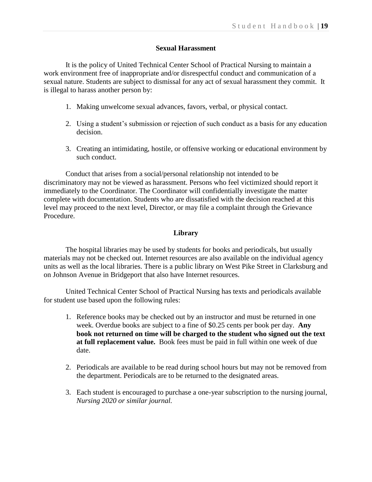## **Sexual Harassment**

It is the policy of United Technical Center School of Practical Nursing to maintain a work environment free of inappropriate and/or disrespectful conduct and communication of a sexual nature. Students are subject to dismissal for any act of sexual harassment they commit. It is illegal to harass another person by:

- 1. Making unwelcome sexual advances, favors, verbal, or physical contact.
- 2. Using a student's submission or rejection of such conduct as a basis for any education decision.
- 3. Creating an intimidating, hostile, or offensive working or educational environment by such conduct.

Conduct that arises from a social/personal relationship not intended to be discriminatory may not be viewed as harassment. Persons who feel victimized should report it immediately to the Coordinator. The Coordinator will confidentially investigate the matter complete with documentation. Students who are dissatisfied with the decision reached at this level may proceed to the next level, Director, or may file a complaint through the Grievance Procedure.

## **Library**

The hospital libraries may be used by students for books and periodicals, but usually materials may not be checked out. Internet resources are also available on the individual agency units as well as the local libraries. There is a public library on West Pike Street in Clarksburg and on Johnson Avenue in Bridgeport that also have Internet resources.

United Technical Center School of Practical Nursing has texts and periodicals available for student use based upon the following rules:

- 1. Reference books may be checked out by an instructor and must be returned in one week. Overdue books are subject to a fine of \$0.25 cents per book per day. **Any book not returned on time will be charged to the student who signed out the text at full replacement value.** Book fees must be paid in full within one week of due date.
- 2. Periodicals are available to be read during school hours but may not be removed from the department. Periodicals are to be returned to the designated areas.
- 3. Each student is encouraged to purchase a one-year subscription to the nursing journal, *Nursing 2020 or similar journal.*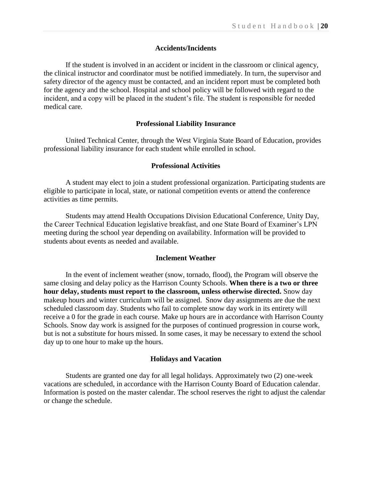#### **Accidents/Incidents**

If the student is involved in an accident or incident in the classroom or clinical agency, the clinical instructor and coordinator must be notified immediately. In turn, the supervisor and safety director of the agency must be contacted, and an incident report must be completed both for the agency and the school. Hospital and school policy will be followed with regard to the incident, and a copy will be placed in the student's file. The student is responsible for needed medical care.

#### **Professional Liability Insurance**

United Technical Center, through the West Virginia State Board of Education, provides professional liability insurance for each student while enrolled in school.

#### **Professional Activities**

A student may elect to join a student professional organization. Participating students are eligible to participate in local, state, or national competition events or attend the conference activities as time permits.

Students may attend Health Occupations Division Educational Conference, Unity Day, the Career Technical Education legislative breakfast, and one State Board of Examiner's LPN meeting during the school year depending on availability. Information will be provided to students about events as needed and available.

#### **Inclement Weather**

In the event of inclement weather (snow, tornado, flood), the Program will observe the same closing and delay policy as the Harrison County Schools. **When there is a two or three hour delay, students must report to the classroom, unless otherwise directed.** Snow day makeup hours and winter curriculum will be assigned. Snow day assignments are due the next scheduled classroom day. Students who fail to complete snow day work in its entirety will receive a 0 for the grade in each course. Make up hours are in accordance with Harrison County Schools. Snow day work is assigned for the purposes of continued progression in course work, but is not a substitute for hours missed. In some cases, it may be necessary to extend the school day up to one hour to make up the hours.

#### **Holidays and Vacation**

Students are granted one day for all legal holidays. Approximately two (2) one-week vacations are scheduled, in accordance with the Harrison County Board of Education calendar. Information is posted on the master calendar. The school reserves the right to adjust the calendar or change the schedule.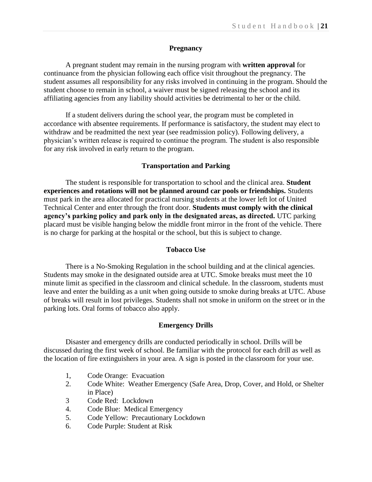## **Pregnancy**

A pregnant student may remain in the nursing program with **written approval** for continuance from the physician following each office visit throughout the pregnancy. The student assumes all responsibility for any risks involved in continuing in the program. Should the student choose to remain in school, a waiver must be signed releasing the school and its affiliating agencies from any liability should activities be detrimental to her or the child.

If a student delivers during the school year, the program must be completed in accordance with absentee requirements. If performance is satisfactory, the student may elect to withdraw and be readmitted the next year (see readmission policy). Following delivery, a physician's written release is required to continue the program. The student is also responsible for any risk involved in early return to the program.

### **Transportation and Parking**

The student is responsible for transportation to school and the clinical area. **Student experiences and rotations will not be planned around car pools or friendships.** Students must park in the area allocated for practical nursing students at the lower left lot of United Technical Center and enter through the front door. **Students must comply with the clinical agency's parking policy and park only in the designated areas, as directed.** UTC parking placard must be visible hanging below the middle front mirror in the front of the vehicle. There is no charge for parking at the hospital or the school, but this is subject to change.

#### **Tobacco Use**

There is a No-Smoking Regulation in the school building and at the clinical agencies. Students may smoke in the designated outside area at UTC. Smoke breaks must meet the 10 minute limit as specified in the classroom and clinical schedule. In the classroom, students must leave and enter the building as a unit when going outside to smoke during breaks at UTC. Abuse of breaks will result in lost privileges. Students shall not smoke in uniform on the street or in the parking lots. Oral forms of tobacco also apply.

#### **Emergency Drills**

Disaster and emergency drills are conducted periodically in school. Drills will be discussed during the first week of school. Be familiar with the protocol for each drill as well as the location of fire extinguishers in your area. A sign is posted in the classroom for your use.

- 1, Code Orange: Evacuation
- 2. Code White: Weather Emergency (Safe Area, Drop, Cover, and Hold, or Shelter in Place)
- 3 Code Red: Lockdown
- 4. Code Blue: Medical Emergency
- 5. Code Yellow: Precautionary Lockdown
- 6. Code Purple: Student at Risk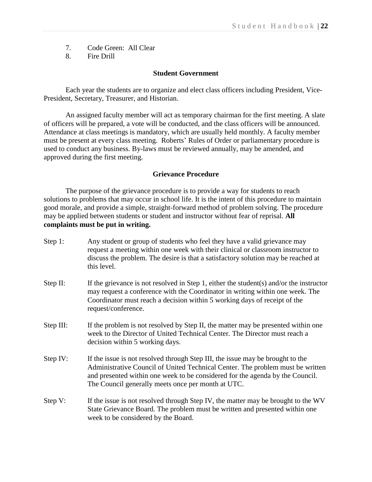- 7. Code Green: All Clear
- 8. Fire Drill

#### **Student Government**

Each year the students are to organize and elect class officers including President, Vice-President, Secretary, Treasurer, and Historian.

An assigned faculty member will act as temporary chairman for the first meeting. A slate of officers will be prepared, a vote will be conducted, and the class officers will be announced. Attendance at class meetings is mandatory, which are usually held monthly. A faculty member must be present at every class meeting. Roberts' Rules of Order or parliamentary procedure is used to conduct any business. By-laws must be reviewed annually, may be amended, and approved during the first meeting.

## **Grievance Procedure**

The purpose of the grievance procedure is to provide a way for students to reach solutions to problems that may occur in school life. It is the intent of this procedure to maintain good morale, and provide a simple, straight-forward method of problem solving. The procedure may be applied between students or student and instructor without fear of reprisal. **All complaints must be put in writing.**

- Step 1: Any student or group of students who feel they have a valid grievance may request a meeting within one week with their clinical or classroom instructor to discuss the problem. The desire is that a satisfactory solution may be reached at this level.
- Step II: If the grievance is not resolved in Step 1, either the student(s) and/or the instructor may request a conference with the Coordinator in writing within one week. The Coordinator must reach a decision within 5 working days of receipt of the request/conference.
- Step III: If the problem is not resolved by Step II, the matter may be presented within one week to the Director of United Technical Center. The Director must reach a decision within 5 working days.
- Step IV: If the issue is not resolved through Step III, the issue may be brought to the Administrative Council of United Technical Center. The problem must be written and presented within one week to be considered for the agenda by the Council. The Council generally meets once per month at UTC.
- Step V: If the issue is not resolved through Step IV, the matter may be brought to the WV State Grievance Board. The problem must be written and presented within one week to be considered by the Board.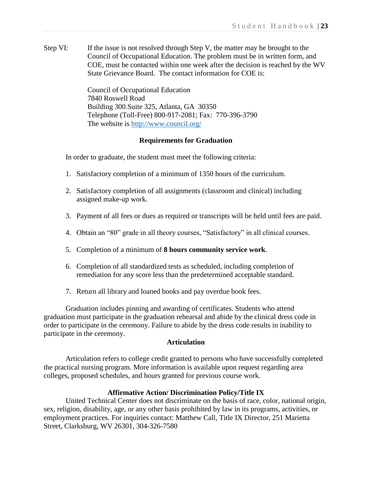Step VI: If the issue is not resolved through Step V, the matter may be brought to the Council of Occupational Education. The problem must be in written form, and COE, must be contacted within one week after the decision is reached by the WV State Grievance Board. The contact information for COE is:

> Council of Occupational Education 7840 Roswell Road Building 300.Suite 325, Atlanta, GA 30350 Telephone (Toll-Free) 800-917-2081; Fax: 770-396-3790 The website is<http://www.council.org/>

### **Requirements for Graduation**

In order to graduate, the student must meet the following criteria:

- 1. Satisfactory completion of a minimum of 1350 hours of the curriculum.
- 2. Satisfactory completion of all assignments (classroom and clinical) including assigned make-up work.
- 3. Payment of all fees or dues as required or transcripts will be held until fees are paid.
- 4. Obtain an "80" grade in all theory courses, "Satisfactory" in all clinical courses.
- 5. Completion of a minimum of **8 hours community service work**.
- 6. Completion of all standardized tests as scheduled, including completion of remediation for any score less than the predetermined acceptable standard.
- 7. Return all library and loaned books and pay overdue book fees.

Graduation includes pinning and awarding of certificates. Students who attend graduation must participate in the graduation rehearsal and abide by the clinical dress code in order to participate in the ceremony. Failure to abide by the dress code results in inability to participate in the ceremony.

### **Articulation**

Articulation refers to college credit granted to persons who have successfully completed the practical nursing program. More information is available upon request regarding area colleges, proposed schedules, and hours granted for previous course work.

### **Affirmative Action/ Discrimination Policy/Title IX**

United Technical Center does not discriminate on the basis of race, color, national origin, sex, religion, disability, age, or any other basis prohibited by law in its programs, activities, or employment practices. For inquiries contact: Matthew Call, Title IX Director, 251 Marietta Street, Clarksburg, WV 26301, 304-326-7580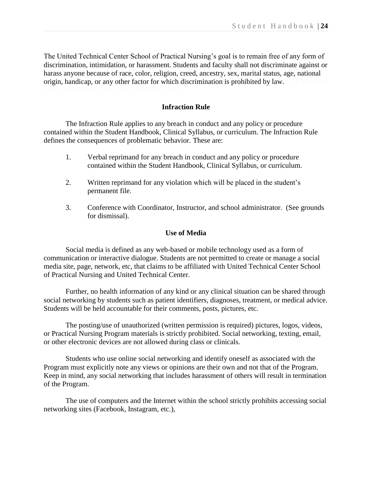The United Technical Center School of Practical Nursing's goal is to remain free of any form of discrimination, intimidation, or harassment. Students and faculty shall not discriminate against or harass anyone because of race, color, religion, creed, ancestry, sex, marital status, age, national origin, handicap, or any other factor for which discrimination is prohibited by law. 251 Marietta

## **Infraction Rule**

The Infraction Rule applies to any breach in conduct and any policy or procedure contained within the Student Handbook, Clinical Syllabus, or curriculum. The Infraction Rule defines the consequences of problematic behavior. These are:

- 1. Verbal reprimand for any breach in conduct and any policy or procedure contained within the Student Handbook, Clinical Syllabus, or curriculum.
- 2. Written reprimand for any violation which will be placed in the student's permanent file.
- 3. Conference with Coordinator, Instructor, and school administrator. (See grounds for dismissal).

## **Use of Media**

Social media is defined as any web-based or mobile technology used as a form of communication or interactive dialogue. Students are not permitted to create or manage a social media site, page, network, etc, that claims to be affiliated with United Technical Center School of Practical Nursing and United Technical Center.

Further, no health information of any kind or any clinical situation can be shared through social networking by students such as patient identifiers, diagnoses, treatment, or medical advice. Students will be held accountable for their comments, posts, pictures, etc.

The posting/use of unauthorized (written permission is required) pictures, logos, videos, or Practical Nursing Program materials is strictly prohibited. Social networking, texting, email, or other electronic devices are not allowed during class or clinicals.

Students who use online social networking and identify oneself as associated with the Program must explicitly note any views or opinions are their own and not that of the Program. Keep in mind, any social networking that includes harassment of others will result in termination of the Program.

The use of computers and the Internet within the school strictly prohibits accessing social networking sites (Facebook, Instagram, etc.),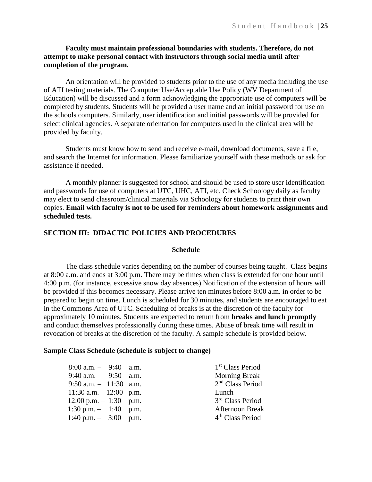## **Faculty must maintain professional boundaries with students. Therefore, do not attempt to make personal contact with instructors through social media until after completion of the program.**

An orientation will be provided to students prior to the use of any media including the use of ATI testing materials. The Computer Use/Acceptable Use Policy (WV Department of Education) will be discussed and a form acknowledging the appropriate use of computers will be completed by students. Students will be provided a user name and an initial password for use on the schools computers. Similarly, user identification and initial passwords will be provided for select clinical agencies. A separate orientation for computers used in the clinical area will be provided by faculty.

Students must know how to send and receive e-mail, download documents, save a file, and search the Internet for information. Please familiarize yourself with these methods or ask for assistance if needed.

A monthly planner is suggested for school and should be used to store user identification and passwords for use of computers at UTC, UHC, ATI, etc. Check Schoology daily as faculty may elect to send classroom/clinical materials via Schoology for students to print their own copies. **Email with faculty is not to be used for reminders about homework assignments and scheduled tests.**

## **SECTION III: DIDACTIC POLICIES AND PROCEDURES**

### **Schedule**

The class schedule varies depending on the number of courses being taught. Class begins at 8:00 a.m. and ends at 3:00 p.m. There may be times when class is extended for one hour until 4:00 p.m. (for instance, excessive snow day absences) Notification of the extension of hours will be provided if this becomes necessary. Please arrive ten minutes before 8:00 a.m. in order to be prepared to begin on time. Lunch is scheduled for 30 minutes, and students are encouraged to eat in the Commons Area of UTC. Scheduling of breaks is at the discretion of the faculty for approximately 10 minutes. Students are expected to return from **breaks and lunch promptly** and conduct themselves professionally during these times. Abuse of break time will result in revocation of breaks at the discretion of the faculty. A sample schedule is provided below.

#### **Sample Class Schedule (schedule is subject to change)**

| $8:00$ a.m. $-$ 9:40 a.m.                | 1 <sup>st</sup> Class Period |
|------------------------------------------|------------------------------|
| $9:40$ a.m. $ 9:50$ a.m.                 | <b>Morning Break</b>         |
| $9:50$ a.m. $-11:30$ a.m.                | 2 <sup>nd</sup> Class Period |
| $11:30$ a.m. $-12:00$ p.m.               | Lunch                        |
| $12:00 \text{ p.m.} - 1:30 \text{ p.m.}$ | 3 <sup>rd</sup> Class Period |
| $1:30 \text{ p.m.} - 1:40 \text{ p.m.}$  | <b>Afternoon Break</b>       |
| $1:40 \text{ p.m.} - 3:00 \text{ p.m.}$  | 4 <sup>th</sup> Class Period |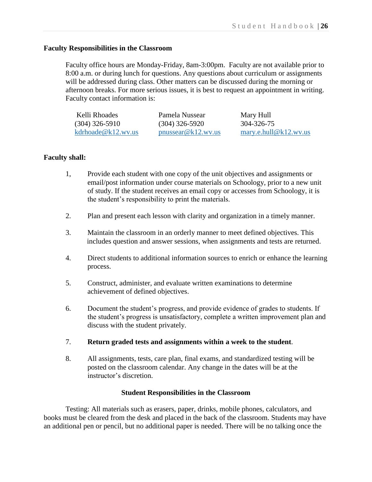## **Faculty Responsibilities in the Classroom**

Faculty office hours are Monday-Friday, 8am-3:00pm. Faculty are not available prior to 8:00 a.m. or during lunch for questions. Any questions about curriculum or assignments will be addressed during class. Other matters can be discussed during the morning or afternoon breaks. For more serious issues, it is best to request an appointment in writing. Faculty contact information is:

| Kelli Rhoades      | Pamela Nussear     | Mary Hull              |
|--------------------|--------------------|------------------------|
| $(304)$ 326-5910   | $(304)$ 326-5920   | 304-326-75             |
| kdrhoade@k12.wv.us | nnussear@k12.wv.us | marv.e. hull@k12.wv.us |

## **Faculty shall:**

- 1, Provide each student with one copy of the unit objectives and assignments or email/post information under course materials on Schoology, prior to a new unit of study. If the student receives an email copy or accesses from Schoology, it is the student's responsibility to print the materials.
- 2. Plan and present each lesson with clarity and organization in a timely manner.
- 3. Maintain the classroom in an orderly manner to meet defined objectives. This includes question and answer sessions, when assignments and tests are returned.
- 4. Direct students to additional information sources to enrich or enhance the learning process.
- 5. Construct, administer, and evaluate written examinations to determine achievement of defined objectives.
- 6. Document the student's progress, and provide evidence of grades to students. If the student's progress is unsatisfactory, complete a written improvement plan and discuss with the student privately.
- 7. **Return graded tests and assignments within a week to the student**.
- 8. All assignments, tests, care plan, final exams, and standardized testing will be posted on the classroom calendar. Any change in the dates will be at the instructor's discretion.

### **Student Responsibilities in the Classroom**

Testing: All materials such as erasers, paper, drinks, mobile phones, calculators, and books must be cleared from the desk and placed in the back of the classroom. Students may have an additional pen or pencil, but no additional paper is needed. There will be no talking once the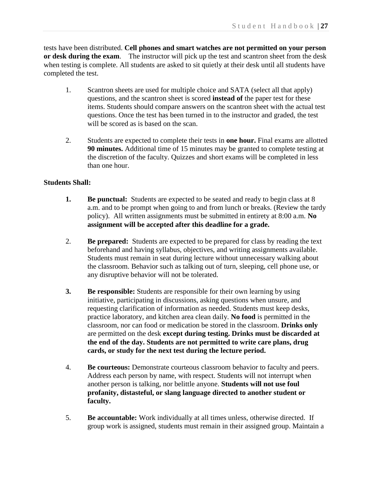tests have been distributed. **Cell phones and smart watches are not permitted on your person or desk during the exam**. The instructor will pick up the test and scantron sheet from the desk when testing is complete. All students are asked to sit quietly at their desk until all students have completed the test.

- 1. Scantron sheets are used for multiple choice and SATA (select all that apply) questions, and the scantron sheet is scored **instead of** the paper test for these items. Students should compare answers on the scantron sheet with the actual test questions. Once the test has been turned in to the instructor and graded, the test will be scored as is based on the scan.
- 2. Students are expected to complete their tests in **one hour.** Final exams are allotted **90 minutes.** Additional time of 15 minutes may be granted to complete testing at the discretion of the faculty. Quizzes and short exams will be completed in less than one hour.

## **Students Shall:**

- **1. Be punctual:** Students are expected to be seated and ready to begin class at 8 a.m. and to be prompt when going to and from lunch or breaks. (Review the tardy policy). All written assignments must be submitted in entirety at 8:00 a.m. **No assignment will be accepted after this deadline for a grade.**
- 2. **Be prepared:** Students are expected to be prepared for class by reading the text beforehand and having syllabus, objectives, and writing assignments available. Students must remain in seat during lecture without unnecessary walking about the classroom. Behavior such as talking out of turn, sleeping, cell phone use, or any disruptive behavior will not be tolerated.
- **3. Be responsible:** Students are responsible for their own learning by using initiative, participating in discussions, asking questions when unsure, and requesting clarification of information as needed. Students must keep desks, practice laboratory, and kitchen area clean daily. **No food** is permitted in the classroom, nor can food or medication be stored in the classroom. **Drinks only**  are permitted on the desk **except during testing. Drinks must be discarded at the end of the day. Students are not permitted to write care plans, drug cards, or study for the next test during the lecture period.**
- 4. **Be courteous:** Demonstrate courteous classroom behavior to faculty and peers. Address each person by name, with respect. Students will not interrupt when another person is talking, nor belittle anyone. **Students will not use foul profanity, distasteful, or slang language directed to another student or faculty.**
- 5. **Be accountable:** Work individually at all times unless, otherwise directed. If group work is assigned, students must remain in their assigned group. Maintain a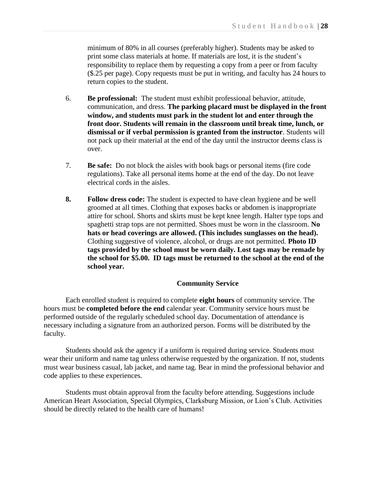minimum of 80% in all courses (preferably higher). Students may be asked to print some class materials at home. If materials are lost, it is the student's responsibility to replace them by requesting a copy from a peer or from faculty (\$.25 per page). Copy requests must be put in writing, and faculty has 24 hours to return copies to the student.

- 6. **Be professional:** The student must exhibit professional behavior, attitude, communication, and dress. **The parking placard must be displayed in the front window, and students must park in the student lot and enter through the front door. Students will remain in the classroom until break time, lunch, or dismissal or if verbal permission is granted from the instructor**. Students will not pack up their material at the end of the day until the instructor deems class is over.
- 7. **Be safe:** Do not block the aisles with book bags or personal items (fire code regulations). Take all personal items home at the end of the day. Do not leave electrical cords in the aisles.
- **8. Follow dress code:** The student is expected to have clean hygiene and be well groomed at all times. Clothing that exposes backs or abdomen is inappropriate attire for school. Shorts and skirts must be kept knee length. Halter type tops and spaghetti strap tops are not permitted. Shoes must be worn in the classroom. **No hats or head coverings are allowed. (This includes sunglasses on the head).** Clothing suggestive of violence, alcohol, or drugs are not permitted. **Photo ID tags provided by the school must be worn daily. Lost tags may be remade by the school for \$5.00. ID tags must be returned to the school at the end of the school year.**

### **Community Service**

Each enrolled student is required to complete **eight hours** of community service. The hours must be **completed before the end** calendar year. Community service hours must be performed outside of the regularly scheduled school day. Documentation of attendance is necessary including a signature from an authorized person. Forms will be distributed by the faculty.

Students should ask the agency if a uniform is required during service. Students must wear their uniform and name tag unless otherwise requested by the organization. If not, students must wear business casual, lab jacket, and name tag. Bear in mind the professional behavior and code applies to these experiences.

Students must obtain approval from the faculty before attending. Suggestions include American Heart Association, Special Olympics, Clarksburg Mission, or Lion's Club. Activities should be directly related to the health care of humans!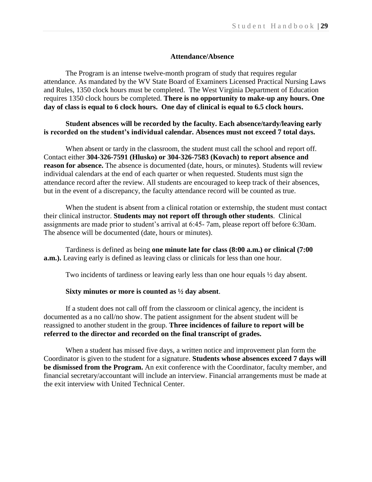## **Attendance/Absence**

The Program is an intense twelve-month program of study that requires regular attendance. As mandated by the WV State Board of Examiners Licensed Practical Nursing Laws and Rules, 1350 clock hours must be completed. The West Virginia Department of Education requires 1350 clock hours be completed. **There is no opportunity to make-up any hours. One day of class is equal to 6 clock hours. One day of clinical is equal to 6.5 clock hours.**

## **Student absences will be recorded by the faculty. Each absence/tardy/leaving early is recorded on the student's individual calendar. Absences must not exceed 7 total days.**

When absent or tardy in the classroom, the student must call the school and report off. Contact either **304-326-7591 (Hlusko) or 304-326-7583 (Kovach) to report absence and reason for absence.** The absence is documented (date, hours, or minutes). Students will review individual calendars at the end of each quarter or when requested. Students must sign the attendance record after the review. All students are encouraged to keep track of their absences, but in the event of a discrepancy, the faculty attendance record will be counted as true.

When the student is absent from a clinical rotation or externship, the student must contact their clinical instructor. **Students may not report off through other students**. Clinical assignments are made prior to student's arrival at 6:45- 7am, please report off before 6:30am. The absence will be documented (date, hours or minutes).

Tardiness is defined as being **one minute late for class (8:00 a.m.) or clinical (7:00 a.m.**). Leaving early is defined as leaving class or clinicals for less than one hour.

Two incidents of tardiness or leaving early less than one hour equals ½ day absent.

## **Sixty minutes or more is counted as ½ day absent**.

If a student does not call off from the classroom or clinical agency, the incident is documented as a no call/no show. The patient assignment for the absent student will be reassigned to another student in the group. **Three incidences of failure to report will be referred to the director and recorded on the final transcript of grades.**

When a student has missed five days, a written notice and improvement plan form the Coordinator is given to the student for a signature. **Students whose absences exceed 7 days will be dismissed from the Program.** An exit conference with the Coordinator, faculty member, and financial secretary/accountant will include an interview. Financial arrangements must be made at the exit interview with United Technical Center.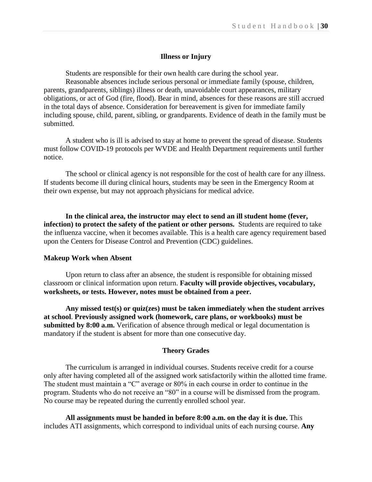## **Illness or Injury**

Students are responsible for their own health care during the school year. Reasonable absences include serious personal or immediate family (spouse, children, parents, grandparents, siblings) illness or death, unavoidable court appearances, military obligations, or act of God (fire, flood). Bear in mind, absences for these reasons are still accrued in the total days of absence. Consideration for bereavement is given for immediate family including spouse, child, parent, sibling, or grandparents. Evidence of death in the family must be submitted.

A student who is ill is advised to stay at home to prevent the spread of disease. Students must follow COVID-19 protocols per WVDE and Health Department requirements until further notice.

The school or clinical agency is not responsible for the cost of health care for any illness. If students become ill during clinical hours, students may be seen in the Emergency Room at their own expense, but may not approach physicians for medical advice.

**In the clinical area, the instructor may elect to send an ill student home (fever, infection) to protect the safety of the patient or other persons.** Students are required to take the influenza vaccine, when it becomes available. This is a health care agency requirement based upon the Centers for Disease Control and Prevention (CDC) guidelines.

#### **Makeup Work when Absent**

Upon return to class after an absence, the student is responsible for obtaining missed classroom or clinical information upon return. **Faculty will provide objectives, vocabulary, worksheets, or tests. However, notes must be obtained from a peer.**

**Any missed test(s) or quiz(zes) must be taken immediately when the student arrives at school**. **Previously assigned work (homework, care plans, or workbooks) must be submitted by 8:00 a.m.** Verification of absence through medical or legal documentation is mandatory if the student is absent for more than one consecutive day.

#### **Theory Grades**

The curriculum is arranged in individual courses. Students receive credit for a course only after having completed all of the assigned work satisfactorily within the allotted time frame. The student must maintain a "C" average or 80% in each course in order to continue in the program. Students who do not receive an "80" in a course will be dismissed from the program. No course may be repeated during the currently enrolled school year.

**All assignments must be handed in before 8:00 a.m. on the day it is due.** This includes ATI assignments, which correspond to individual units of each nursing course. **Any**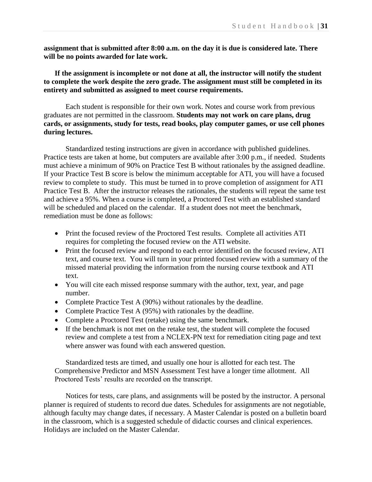**assignment that is submitted after 8:00 a.m. on the day it is due is considered late. There will be no points awarded for late work.** 

**If the assignment is incomplete or not done at all, the instructor will notify the student to complete the work despite the zero grade. The assignment must still be completed in its entirety and submitted as assigned to meet course requirements.**

Each student is responsible for their own work. Notes and course work from previous graduates are not permitted in the classroom. **Students may not work on care plans, drug cards, or assignments, study for tests, read books, play computer games, or use cell phones during lectures.**

Standardized testing instructions are given in accordance with published guidelines. Practice tests are taken at home, but computers are available after 3:00 p.m., if needed. Students must achieve a minimum of 90% on Practice Test B without rationales by the assigned deadline. If your Practice Test B score is below the minimum acceptable for ATI, you will have a focused review to complete to study. This must be turned in to prove completion of assignment for ATI Practice Test B. After the instructor releases the rationales, the students will repeat the same test and achieve a 95%. When a course is completed, a Proctored Test with an established standard will be scheduled and placed on the calendar. If a student does not meet the benchmark, remediation must be done as follows:

- Print the focused review of the Proctored Test results. Complete all activities ATI requires for completing the focused review on the ATI website.
- Print the focused review and respond to each error identified on the focused review, ATI text, and course text. You will turn in your printed focused review with a summary of the missed material providing the information from the nursing course textbook and ATI text.
- You will cite each missed response summary with the author, text, year, and page number.
- Complete Practice Test A (90%) without rationales by the deadline.
- Complete Practice Test A (95%) with rationales by the deadline.
- Complete a Proctored Test (retake) using the same benchmark.
- If the benchmark is not met on the retake test, the student will complete the focused review and complete a test from a NCLEX-PN text for remediation citing page and text where answer was found with each answered question.

Standardized tests are timed, and usually one hour is allotted for each test. The Comprehensive Predictor and MSN Assessment Test have a longer time allotment. All Proctored Tests' results are recorded on the transcript.

Notices for tests, care plans, and assignments will be posted by the instructor. A personal planner is required of students to record due dates. Schedules for assignments are not negotiable, although faculty may change dates, if necessary. A Master Calendar is posted on a bulletin board in the classroom, which is a suggested schedule of didactic courses and clinical experiences. Holidays are included on the Master Calendar.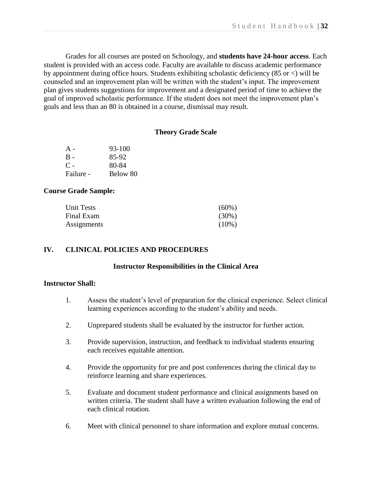Grades for all courses are posted on Schoology, and **students have 24-hour access**. Each student is provided with an access code. Faculty are available to discuss academic performance by appointment during office hours. Students exhibiting scholastic deficiency (85 or <) will be counseled and an improvement plan will be written with the student's input. The improvement plan gives students suggestions for improvement and a designated period of time to achieve the goal of improved scholastic performance. If the student does not meet the improvement plan's goals and less than an 80 is obtained in a course, dismissal may result.

## **Theory Grade Scale**

| $A -$     | 93-100   |
|-----------|----------|
| B -       | 85-92    |
| $C -$     | 80-84    |
| Failure - | Below 80 |

## **Course Grade Sample:**

| <b>Unit Tests</b> | $(60\%)$ |
|-------------------|----------|
| Final Exam        | $(30\%)$ |
| Assignments       | $(10\%)$ |

## **IV. CLINICAL POLICIES AND PROCEDURES**

## **Instructor Responsibilities in the Clinical Area**

## **Instructor Shall:**

- 1. Assess the student's level of preparation for the clinical experience. Select clinical learning experiences according to the student's ability and needs.
- 2. Unprepared students shall be evaluated by the instructor for further action.
- 3. Provide supervision, instruction, and feedback to individual students ensuring each receives equitable attention.
- 4. Provide the opportunity for pre and post conferences during the clinical day to reinforce learning and share experiences.
- 5. Evaluate and document student performance and clinical assignments based on written criteria. The student shall have a written evaluation following the end of each clinical rotation.
- 6. Meet with clinical personnel to share information and explore mutual concerns.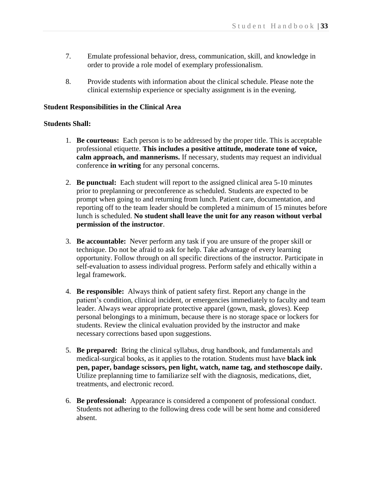- 7. Emulate professional behavior, dress, communication, skill, and knowledge in order to provide a role model of exemplary professionalism.
- 8. Provide students with information about the clinical schedule. Please note the clinical externship experience or specialty assignment is in the evening.

## **Student Responsibilities in the Clinical Area**

## **Students Shall:**

- 1. **Be courteous:** Each person is to be addressed by the proper title. This is acceptable professional etiquette. **This includes a positive attitude, moderate tone of voice, calm approach, and mannerisms.** If necessary, students may request an individual conference **in writing** for any personal concerns.
- 2. **Be punctual:** Each student will report to the assigned clinical area 5-10 minutes prior to preplanning or preconference as scheduled. Students are expected to be prompt when going to and returning from lunch. Patient care, documentation, and reporting off to the team leader should be completed a minimum of 15 minutes before lunch is scheduled. **No student shall leave the unit for any reason without verbal permission of the instructor**.
- 3. **Be accountable:** Never perform any task if you are unsure of the proper skill or technique. Do not be afraid to ask for help. Take advantage of every learning opportunity. Follow through on all specific directions of the instructor. Participate in self-evaluation to assess individual progress. Perform safely and ethically within a legal framework.
- 4. **Be responsible:** Always think of patient safety first. Report any change in the patient's condition, clinical incident, or emergencies immediately to faculty and team leader. Always wear appropriate protective apparel (gown, mask, gloves). Keep personal belongings to a minimum, because there is no storage space or lockers for students. Review the clinical evaluation provided by the instructor and make necessary corrections based upon suggestions.
- 5. **Be prepared:** Bring the clinical syllabus, drug handbook, and fundamentals and medical-surgical books, as it applies to the rotation. Students must have **black ink pen, paper, bandage scissors, pen light, watch, name tag, and stethoscope daily.**  Utilize preplanning time to familiarize self with the diagnosis, medications, diet, treatments, and electronic record.
- 6. **Be professional:** Appearance is considered a component of professional conduct. Students not adhering to the following dress code will be sent home and considered absent.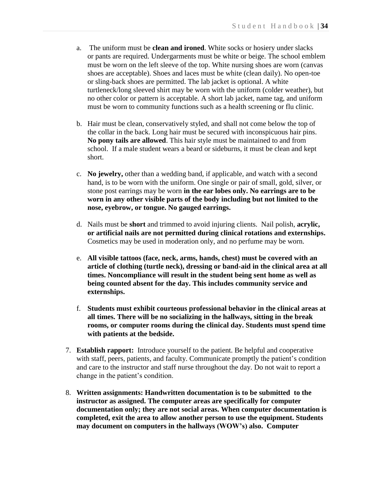- a. The uniform must be **clean and ironed**. White socks or hosiery under slacks or pants are required. Undergarments must be white or beige. The school emblem must be worn on the left sleeve of the top. White nursing shoes are worn (canvas shoes are acceptable). Shoes and laces must be white (clean daily). No open-toe or sling-back shoes are permitted. The lab jacket is optional. A white turtleneck/long sleeved shirt may be worn with the uniform (colder weather), but no other color or pattern is acceptable. A short lab jacket, name tag, and uniform must be worn to community functions such as a health screening or flu clinic.
- b. Hair must be clean, conservatively styled, and shall not come below the top of the collar in the back. Long hair must be secured with inconspicuous hair pins. **No pony tails are allowed**. This hair style must be maintained to and from school. If a male student wears a beard or sideburns, it must be clean and kept short.
- c. **No jewelry,** other than a wedding band, if applicable, and watch with a second hand, is to be worn with the uniform. One single or pair of small, gold, silver, or stone post earrings may be worn **in the ear lobes only. No earrings are to be worn in any other visible parts of the body including but not limited to the nose, eyebrow, or tongue. No gauged earrings.**
- d. Nails must be **short** and trimmed to avoid injuring clients. Nail polish, **acrylic, or artificial nails are not permitted during clinical rotations and externships.**  Cosmetics may be used in moderation only, and no perfume may be worn.
- e. **All visible tattoos (face, neck, arms, hands, chest) must be covered with an article of clothing (turtle neck), dressing or band-aid in the clinical area at all times. Noncompliance will result in the student being sent home as well as being counted absent for the day. This includes community service and externships.**
- f. **Students must exhibit courteous professional behavior in the clinical areas at all times. There will be no socializing in the hallways, sitting in the break rooms, or computer rooms during the clinical day. Students must spend time with patients at the bedside.**
- 7. **Establish rapport:** Introduce yourself to the patient. Be helpful and cooperative with staff, peers, patients, and faculty. Communicate promptly the patient's condition and care to the instructor and staff nurse throughout the day. Do not wait to report a change in the patient's condition.
- 8. **Written assignments: Handwritten documentation is to be submitted to the instructor as assigned. The computer areas are specifically for computer documentation only; they are not social areas. When computer documentation is completed, exit the area to allow another person to use the equipment. Students may document on computers in the hallways (WOW's) also. Computer**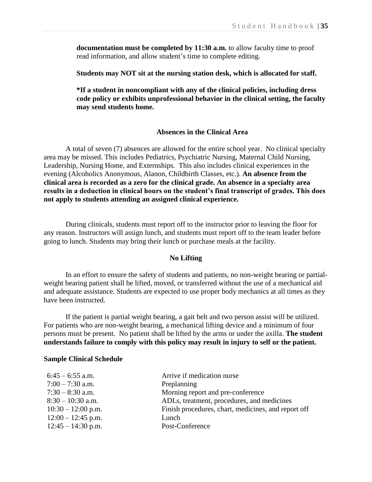**documentation must be completed by 11:30 a.m.** to allow faculty time to proof read information, and allow student's time to complete editing.

**Students may NOT sit at the nursing station desk, which is allocated for staff.**

**\*If a student in noncompliant with any of the clinical policies, including dress code policy or exhibits unprofessional behavior in the clinical setting, the faculty may send students home.**

## **Absences in the Clinical Area**

A total of seven (7) absences are allowed for the entire school year. No clinical specialty area may be missed. This includes Pediatrics, Psychiatric Nursing, Maternal Child Nursing, Leadership, Nursing Home, and Externships. This also includes clinical experiences in the evening (Alcoholics Anonymous, Alanon, Childbirth Classes, etc.). **An absence from the clinical area is recorded as a zero for the clinical grade. An absence in a specialty area results in a deduction in clinical hours on the student's final transcript of grades. This does not apply to students attending an assigned clinical experience.**

During clinicals, students must report off to the instructor prior to leaving the floor for any reason. Instructors will assign lunch, and students must report off to the team leader before going to lunch. Students may bring their lunch or purchase meals at the facility.

## **No Lifting**

In an effort to ensure the safety of students and patients, no non-weight bearing or partialweight bearing patient shall be lifted, moved, or transferred without the use of a mechanical aid and adequate assistance. Students are expected to use proper body mechanics at all times as they have been instructed.

If the patient is partial weight bearing, a gait belt and two person assist will be utilized. For patients who are non-weight bearing, a mechanical lifting device and a minimum of four persons must be present. No patient shall be lifted by the arms or under the axilla. **The student understands failure to comply with this policy may result in injury to self or the patient.**

#### **Sample Clinical Schedule**

| $6:45 - 6:55$ a.m.   | Arrive if medication nurse                          |
|----------------------|-----------------------------------------------------|
| $7:00 - 7:30$ a.m.   | Preplanning                                         |
| $7:30 - 8:30$ a.m.   | Morning report and pre-conference                   |
| $8:30 - 10:30$ a.m.  | ADLs, treatment, procedures, and medicines          |
| $10:30 - 12:00$ p.m. | Finish procedures, chart, medicines, and report off |
| $12:00 - 12:45$ p.m. | Lunch                                               |
| $12:45 - 14:30$ p.m. | Post-Conference                                     |
|                      |                                                     |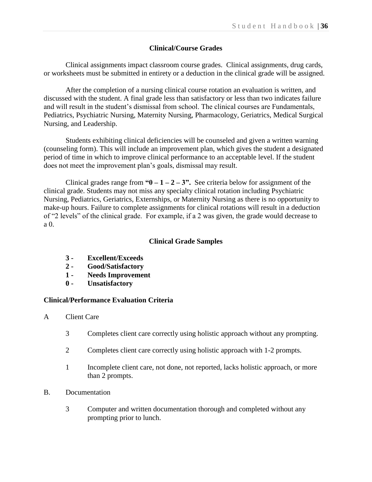## **Clinical/Course Grades**

Clinical assignments impact classroom course grades. Clinical assignments, drug cards, or worksheets must be submitted in entirety or a deduction in the clinical grade will be assigned.

After the completion of a nursing clinical course rotation an evaluation is written, and discussed with the student. A final grade less than satisfactory or less than two indicates failure and will result in the student's dismissal from school. The clinical courses are Fundamentals, Pediatrics, Psychiatric Nursing, Maternity Nursing, Pharmacology, Geriatrics, Medical Surgical Nursing, and Leadership.

Students exhibiting clinical deficiencies will be counseled and given a written warning (counseling form). This will include an improvement plan, which gives the student a designated period of time in which to improve clinical performance to an acceptable level. If the student does not meet the improvement plan's goals, dismissal may result.

Clinical grades range from  $\mathbf{w_0} - \mathbf{1} - \mathbf{2} - \mathbf{3}$ . See criteria below for assignment of the clinical grade. Students may not miss any specialty clinical rotation including Psychiatric Nursing, Pediatrics, Geriatrics, Externships, or Maternity Nursing as there is no opportunity to make-up hours. Failure to complete assignments for clinical rotations will result in a deduction of "2 levels" of the clinical grade. For example, if a 2 was given, the grade would decrease to a 0.

## **Clinical Grade Samples**

- **3 - Excellent/Exceeds**
- **2 - Good/Satisfactory**
- **1 - Needs Improvement**
- **0 - Unsatisfactory**

### **Clinical/Performance Evaluation Criteria**

- A Client Care
	- 3 Completes client care correctly using holistic approach without any prompting.
	- 2 Completes client care correctly using holistic approach with 1-2 prompts.
	- 1 Incomplete client care, not done, not reported, lacks holistic approach, or more than 2 prompts.
- B. Documentation
	- 3 Computer and written documentation thorough and completed without any prompting prior to lunch.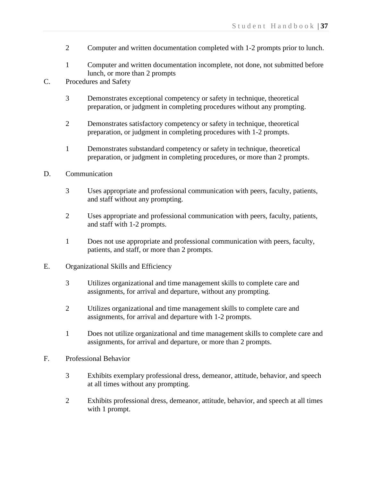- 2 Computer and written documentation completed with 1-2 prompts prior to lunch.
- 1 Computer and written documentation incomplete, not done, not submitted before lunch, or more than 2 prompts
- C. Procedures and Safety
	- 3 Demonstrates exceptional competency or safety in technique, theoretical preparation, or judgment in completing procedures without any prompting.
	- 2 Demonstrates satisfactory competency or safety in technique, theoretical preparation, or judgment in completing procedures with 1-2 prompts.
	- 1 Demonstrates substandard competency or safety in technique, theoretical preparation, or judgment in completing procedures, or more than 2 prompts.
- D. Communication
	- 3 Uses appropriate and professional communication with peers, faculty, patients, and staff without any prompting.
	- 2 Uses appropriate and professional communication with peers, faculty, patients, and staff with 1-2 prompts.
	- 1 Does not use appropriate and professional communication with peers, faculty, patients, and staff, or more than 2 prompts.
- E. Organizational Skills and Efficiency
	- 3 Utilizes organizational and time management skills to complete care and assignments, for arrival and departure, without any prompting.
	- 2 Utilizes organizational and time management skills to complete care and assignments, for arrival and departure with 1-2 prompts.
	- 1 Does not utilize organizational and time management skills to complete care and assignments, for arrival and departure, or more than 2 prompts.
- F. Professional Behavior
	- 3 Exhibits exemplary professional dress, demeanor, attitude, behavior, and speech at all times without any prompting.
	- 2 Exhibits professional dress, demeanor, attitude, behavior, and speech at all times with 1 prompt.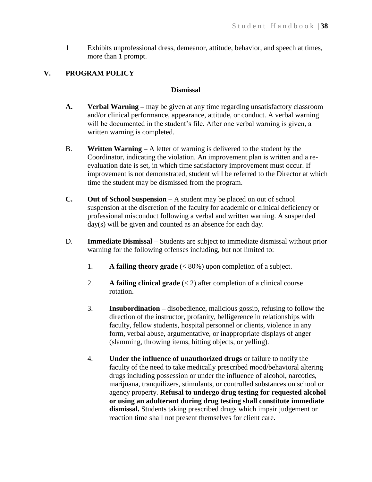1 Exhibits unprofessional dress, demeanor, attitude, behavior, and speech at times, more than 1 prompt.

## **V. PROGRAM POLICY**

## **Dismissal**

- **A. Verbal Warning –** may be given at any time regarding unsatisfactory classroom and/or clinical performance, appearance, attitude, or conduct. A verbal warning will be documented in the student's file. After one verbal warning is given, a written warning is completed.
- B. **Written Warning –** A letter of warning is delivered to the student by the Coordinator, indicating the violation. An improvement plan is written and a reevaluation date is set, in which time satisfactory improvement must occur. If improvement is not demonstrated, student will be referred to the Director at which time the student may be dismissed from the program.
- **C. Out of School Suspension –** A student may be placed on out of school suspension at the discretion of the faculty for academic or clinical deficiency or professional misconduct following a verbal and written warning. A suspended day(s) will be given and counted as an absence for each day.
- D. **Immediate Dismissal –** Students are subject to immediate dismissal without prior warning for the following offenses including, but not limited to:
	- 1. **A failing theory grade** (< 80%) upon completion of a subject.
	- 2. **A failing clinical grade** (< 2) after completion of a clinical course rotation.
	- 3. **Insubordination –** disobedience, malicious gossip, refusing to follow the direction of the instructor, profanity, belligerence in relationships with faculty, fellow students, hospital personnel or clients, violence in any form, verbal abuse, argumentative, or inappropriate displays of anger (slamming, throwing items, hitting objects, or yelling).
	- 4. **Under the influence of unauthorized drugs** or failure to notify the faculty of the need to take medically prescribed mood/behavioral altering drugs including possession or under the influence of alcohol, narcotics, marijuana, tranquilizers, stimulants, or controlled substances on school or agency property. **Refusal to undergo drug testing for requested alcohol or using an adulterant during drug testing shall constitute immediate dismissal.** Students taking prescribed drugs which impair judgement or reaction time shall not present themselves for client care.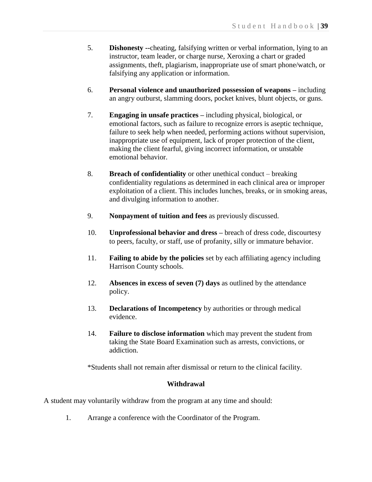- 5. **Dishonesty --**cheating, falsifying written or verbal information, lying to an instructor, team leader, or charge nurse, Xeroxing a chart or graded assignments, theft, plagiarism, inappropriate use of smart phone/watch, or falsifying any application or information.
- 6. **Personal violence and unauthorized possession of weapons –** including an angry outburst, slamming doors, pocket knives, blunt objects, or guns.
- 7. **Engaging in unsafe practices –** including physical, biological, or emotional factors, such as failure to recognize errors is aseptic technique, failure to seek help when needed, performing actions without supervision, inappropriate use of equipment, lack of proper protection of the client, making the client fearful, giving incorrect information, or unstable emotional behavior.
- 8. **Breach of confidentiality** or other unethical conduct breaking confidentiality regulations as determined in each clinical area or improper exploitation of a client. This includes lunches, breaks, or in smoking areas, and divulging information to another.
- 9. **Nonpayment of tuition and fees** as previously discussed.
- 10. **Unprofessional behavior and dress –** breach of dress code, discourtesy to peers, faculty, or staff, use of profanity, silly or immature behavior.
- 11. **Failing to abide by the policies** set by each affiliating agency including Harrison County schools.
- 12. **Absences in excess of seven (7) days** as outlined by the attendance policy.
- 13. **Declarations of Incompetency** by authorities or through medical evidence.
- 14. **Failure to disclose information** which may prevent the student from taking the State Board Examination such as arrests, convictions, or addiction.

\*Students shall not remain after dismissal or return to the clinical facility.

## **Withdrawal**

A student may voluntarily withdraw from the program at any time and should:

1. Arrange a conference with the Coordinator of the Program.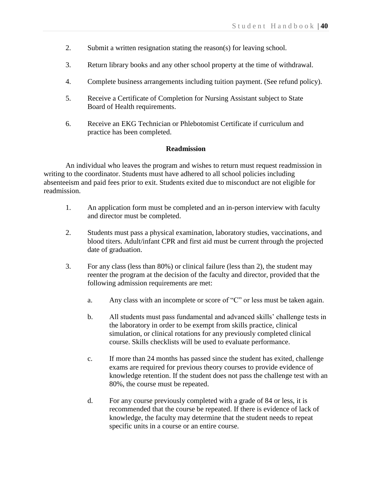- 2. Submit a written resignation stating the reason(s) for leaving school.
- 3. Return library books and any other school property at the time of withdrawal.
- 4. Complete business arrangements including tuition payment. (See refund policy).
- 5. Receive a Certificate of Completion for Nursing Assistant subject to State Board of Health requirements.
- 6. Receive an EKG Technician or Phlebotomist Certificate if curriculum and practice has been completed.

## **Readmission**

An individual who leaves the program and wishes to return must request readmission in writing to the coordinator. Students must have adhered to all school policies including absenteeism and paid fees prior to exit. Students exited due to misconduct are not eligible for readmission.

- 1. An application form must be completed and an in-person interview with faculty and director must be completed.
- 2. Students must pass a physical examination, laboratory studies, vaccinations, and blood titers. Adult/infant CPR and first aid must be current through the projected date of graduation.
- 3. For any class (less than 80%) or clinical failure (less than 2), the student may reenter the program at the decision of the faculty and director, provided that the following admission requirements are met:
	- a. Any class with an incomplete or score of "C" or less must be taken again.
	- b. All students must pass fundamental and advanced skills' challenge tests in the laboratory in order to be exempt from skills practice, clinical simulation, or clinical rotations for any previously completed clinical course. Skills checklists will be used to evaluate performance.
	- c. If more than 24 months has passed since the student has exited, challenge exams are required for previous theory courses to provide evidence of knowledge retention. If the student does not pass the challenge test with an 80%, the course must be repeated.
	- d. For any course previously completed with a grade of 84 or less, it is recommended that the course be repeated. If there is evidence of lack of knowledge, the faculty may determine that the student needs to repeat specific units in a course or an entire course.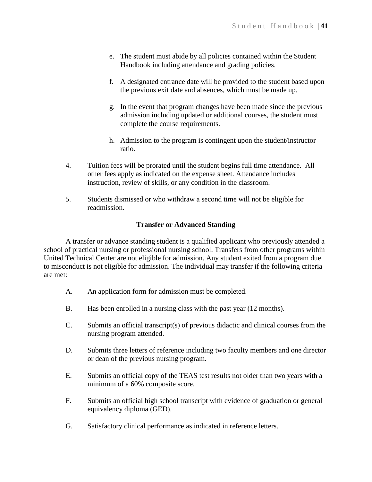- e. The student must abide by all policies contained within the Student Handbook including attendance and grading policies.
- f. A designated entrance date will be provided to the student based upon the previous exit date and absences, which must be made up.
- g. In the event that program changes have been made since the previous admission including updated or additional courses, the student must complete the course requirements.
- h. Admission to the program is contingent upon the student/instructor ratio.
- 4. Tuition fees will be prorated until the student begins full time attendance. All other fees apply as indicated on the expense sheet. Attendance includes instruction, review of skills, or any condition in the classroom.
- 5. Students dismissed or who withdraw a second time will not be eligible for readmission.

## **Transfer or Advanced Standing**

A transfer or advance standing student is a qualified applicant who previously attended a school of practical nursing or professional nursing school. Transfers from other programs within United Technical Center are not eligible for admission. Any student exited from a program due to misconduct is not eligible for admission. The individual may transfer if the following criteria are met:

- A. An application form for admission must be completed.
- B. Has been enrolled in a nursing class with the past year (12 months).
- C. Submits an official transcript(s) of previous didactic and clinical courses from the nursing program attended.
- D. Submits three letters of reference including two faculty members and one director or dean of the previous nursing program.
- E. Submits an official copy of the TEAS test results not older than two years with a minimum of a 60% composite score.
- F. Submits an official high school transcript with evidence of graduation or general equivalency diploma (GED).
- G. Satisfactory clinical performance as indicated in reference letters.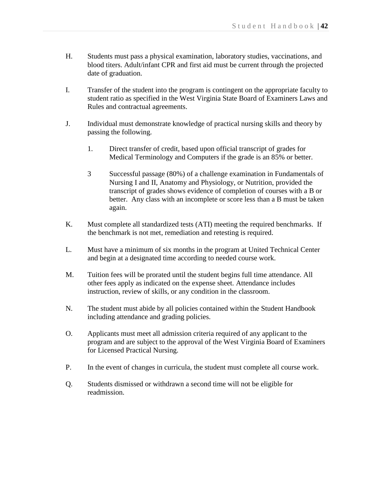- H. Students must pass a physical examination, laboratory studies, vaccinations, and blood titers. Adult/infant CPR and first aid must be current through the projected date of graduation.
- I. Transfer of the student into the program is contingent on the appropriate faculty to student ratio as specified in the West Virginia State Board of Examiners Laws and Rules and contractual agreements.
- J. Individual must demonstrate knowledge of practical nursing skills and theory by passing the following.
	- 1. Direct transfer of credit, based upon official transcript of grades for Medical Terminology and Computers if the grade is an 85% or better.
	- 3 Successful passage (80%) of a challenge examination in Fundamentals of Nursing I and II, Anatomy and Physiology, or Nutrition, provided the transcript of grades shows evidence of completion of courses with a B or better. Any class with an incomplete or score less than a B must be taken again.
- K. Must complete all standardized tests (ATI) meeting the required benchmarks. If the benchmark is not met, remediation and retesting is required.
- L. Must have a minimum of six months in the program at United Technical Center and begin at a designated time according to needed course work.
- M. Tuition fees will be prorated until the student begins full time attendance. All other fees apply as indicated on the expense sheet. Attendance includes instruction, review of skills, or any condition in the classroom.
- N. The student must abide by all policies contained within the Student Handbook including attendance and grading policies.
- O. Applicants must meet all admission criteria required of any applicant to the program and are subject to the approval of the West Virginia Board of Examiners for Licensed Practical Nursing.
- P. In the event of changes in curricula, the student must complete all course work.
- Q. Students dismissed or withdrawn a second time will not be eligible for readmission.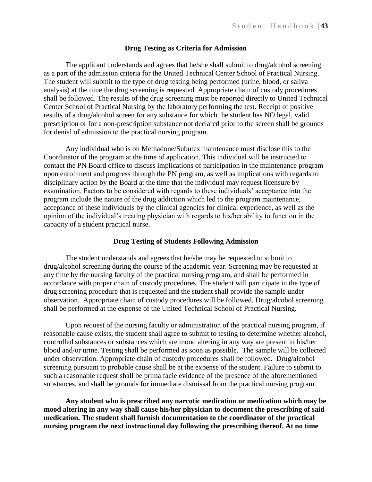#### **Drug Testing as Criteria for Admission**

The applicant understands and agrees that he/she shall submit to drug/alcohol screening as a part of the admission criteria for the United Technical Center School of Practical Nursing. The student will submit to the type of drug testing being performed (urine, blood, or saliva analysis) at the time the drug screening is requested. Appropriate chain of custody procedures shall be followed. The results of the drug screening must be reported directly to United Technical Center School of Practical Nursing by the laboratory performing the test. Receipt of positive results of a drug/alcohol screen for any substance for which the student has NO legal, valid prescription or for a non-prescription substance not declared prior to the screen shall be grounds for denial of admission to the practical nursing program.

Any individual who is on Methadone/Subutex maintenance must disclose this to the Coordinator of the program at the time of application. This individual will be instructed to contact the PN Board office to discuss implications of participation in the maintenance program upon enrollment and progress through the PN program, as well as implications with regards to disciplinary action by the Board at the time that the individual may request licensure by examination. Factors to be considered with regards to these individuals' acceptance into the program include the nature of the drug addiction which led to the program maintenance, acceptance of these individuals by the clinical agencies for clinical experience, as well as the opinion of the individual's treating physician with regards to his/her ability to function in the capacity of a student practical nurse.

## **Drug Testing of Students Following Admission**

The student understands and agrees that he/she may be requested to submit to drug/alcohol screening during the course of the academic year. Screening may be requested at any time by the nursing faculty of the practical nursing program, and shall be performed in accordance with proper chain of custody procedures. The student will participate in the type of drug screening procedure that is requested and the student shall provide the sample under observation. Appropriate chain of custody procedures will be followed. Drug/alcohol screening shall be performed at the expense of the United Technical School of Practical Nursing.

Upon request of the nursing faculty or administration of the practical nursing program, if reasonable cause exists, the student shall agree to submit to testing to determine whether alcohol, controlled substances or substances which are mood altering in any way are present in his/her blood and/or urine. Testing shall be performed as soon as possible. The sample will be collected under observation. Appropriate chain of custody procedures shall be followed. Drug/alcohol screening pursuant to probable cause shall be at the expense of the student. Failure to submit to such a reasonable request shall be prima facie evidence of the presence of the aforementioned substances, and shall be grounds for immediate dismissal from the practical nursing program

**Any student who is prescribed any narcotic medication or medication which may be mood altering in any way shall cause his/her physician to document the prescribing of said medication. The student shall furnish documentation to the coordinator of the practical nursing program the next instructional day following the prescribing thereof. At no time**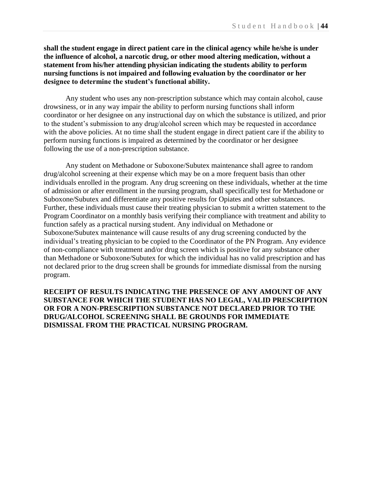**shall the student engage in direct patient care in the clinical agency while he/she is under the influence of alcohol, a narcotic drug, or other mood altering medication, without a statement from his/her attending physician indicating the students ability to perform nursing functions is not impaired and following evaluation by the coordinator or her designee to determine the student's functional ability.**

Any student who uses any non-prescription substance which may contain alcohol, cause drowsiness, or in any way impair the ability to perform nursing functions shall inform coordinator or her designee on any instructional day on which the substance is utilized, and prior to the student's submission to any drug/alcohol screen which may be requested in accordance with the above policies. At no time shall the student engage in direct patient care if the ability to perform nursing functions is impaired as determined by the coordinator or her designee following the use of a non-prescription substance.

Any student on Methadone or Suboxone/Subutex maintenance shall agree to random drug/alcohol screening at their expense which may be on a more frequent basis than other individuals enrolled in the program. Any drug screening on these individuals, whether at the time of admission or after enrollment in the nursing program, shall specifically test for Methadone or Suboxone/Subutex and differentiate any positive results for Opiates and other substances. Further, these individuals must cause their treating physician to submit a written statement to the Program Coordinator on a monthly basis verifying their compliance with treatment and ability to function safely as a practical nursing student. Any individual on Methadone or Suboxone/Subutex maintenance will cause results of any drug screening conducted by the individual's treating physician to be copied to the Coordinator of the PN Program. Any evidence of non-compliance with treatment and/or drug screen which is positive for any substance other than Methadone or Suboxone/Subutex for which the individual has no valid prescription and has not declared prior to the drug screen shall be grounds for immediate dismissal from the nursing program.

**RECEIPT OF RESULTS INDICATING THE PRESENCE OF ANY AMOUNT OF ANY SUBSTANCE FOR WHICH THE STUDENT HAS NO LEGAL, VALID PRESCRIPTION OR FOR A NON-PRESCRIPTION SUBSTANCE NOT DECLARED PRIOR TO THE DRUG/ALCOHOL SCREENING SHALL BE GROUNDS FOR IMMEDIATE DISMISSAL FROM THE PRACTICAL NURSING PROGRAM.**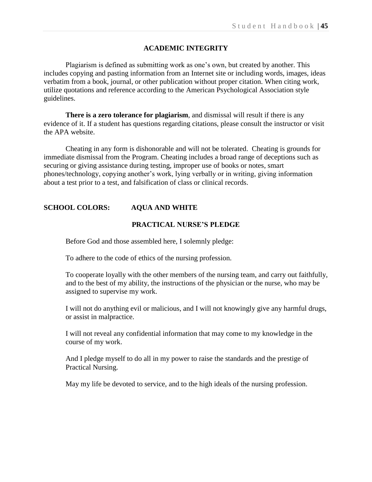## **ACADEMIC INTEGRITY**

Plagiarism is defined as submitting work as one's own, but created by another. This includes copying and pasting information from an Internet site or including words, images, ideas verbatim from a book, journal, or other publication without proper citation. When citing work, utilize quotations and reference according to the American Psychological Association style guidelines.

**There is a zero tolerance for plagiarism**, and dismissal will result if there is any evidence of it. If a student has questions regarding citations, please consult the instructor or visit the APA website.

Cheating in any form is dishonorable and will not be tolerated. Cheating is grounds for immediate dismissal from the Program. Cheating includes a broad range of deceptions such as securing or giving assistance during testing, improper use of books or notes, smart phones/technology, copying another's work, lying verbally or in writing, giving information about a test prior to a test, and falsification of class or clinical records.

## **SCHOOL COLORS: AQUA AND WHITE**

## **PRACTICAL NURSE'S PLEDGE**

Before God and those assembled here, I solemnly pledge:

To adhere to the code of ethics of the nursing profession.

To cooperate loyally with the other members of the nursing team, and carry out faithfully, and to the best of my ability, the instructions of the physician or the nurse, who may be assigned to supervise my work.

I will not do anything evil or malicious, and I will not knowingly give any harmful drugs, or assist in malpractice.

I will not reveal any confidential information that may come to my knowledge in the course of my work.

And I pledge myself to do all in my power to raise the standards and the prestige of Practical Nursing.

May my life be devoted to service, and to the high ideals of the nursing profession.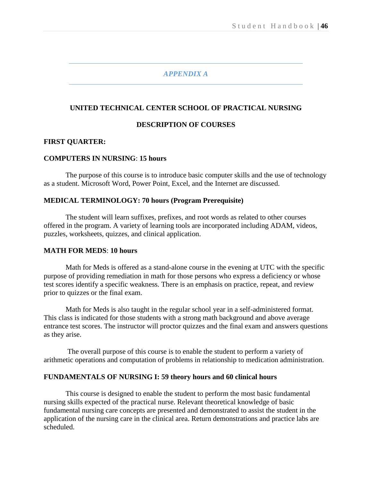## *APPENDIX A*

## **UNITED TECHNICAL CENTER SCHOOL OF PRACTICAL NURSING**

## **DESCRIPTION OF COURSES**

## **FIRST QUARTER:**

## **COMPUTERS IN NURSING**: **15 hours**

The purpose of this course is to introduce basic computer skills and the use of technology as a student. Microsoft Word, Power Point, Excel, and the Internet are discussed.

#### **MEDICAL TERMINOLOGY: 70 hours (Program Prerequisite)**

The student will learn suffixes, prefixes, and root words as related to other courses offered in the program. A variety of learning tools are incorporated including ADAM, videos, puzzles, worksheets, quizzes, and clinical application.

#### **MATH FOR MEDS**: **10 hours**

Math for Meds is offered as a stand-alone course in the evening at UTC with the specific purpose of providing remediation in math for those persons who express a deficiency or whose test scores identify a specific weakness. There is an emphasis on practice, repeat, and review prior to quizzes or the final exam.

Math for Meds is also taught in the regular school year in a self-administered format. This class is indicated for those students with a strong math background and above average entrance test scores. The instructor will proctor quizzes and the final exam and answers questions as they arise.

The overall purpose of this course is to enable the student to perform a variety of arithmetic operations and computation of problems in relationship to medication administration.

#### **FUNDAMENTALS OF NURSING I: 59 theory hours and 60 clinical hours**

This course is designed to enable the student to perform the most basic fundamental nursing skills expected of the practical nurse. Relevant theoretical knowledge of basic fundamental nursing care concepts are presented and demonstrated to assist the student in the application of the nursing care in the clinical area. Return demonstrations and practice labs are scheduled.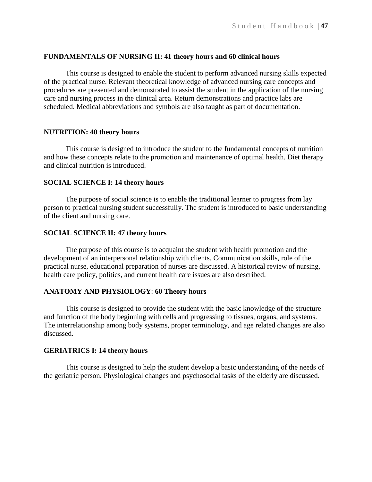## **FUNDAMENTALS OF NURSING II: 41 theory hours and 60 clinical hours**

This course is designed to enable the student to perform advanced nursing skills expected of the practical nurse. Relevant theoretical knowledge of advanced nursing care concepts and procedures are presented and demonstrated to assist the student in the application of the nursing care and nursing process in the clinical area. Return demonstrations and practice labs are scheduled. Medical abbreviations and symbols are also taught as part of documentation.

### **NUTRITION: 40 theory hours**

This course is designed to introduce the student to the fundamental concepts of nutrition and how these concepts relate to the promotion and maintenance of optimal health. Diet therapy and clinical nutrition is introduced.

#### **SOCIAL SCIENCE I: 14 theory hours**

The purpose of social science is to enable the traditional learner to progress from lay person to practical nursing student successfully. The student is introduced to basic understanding of the client and nursing care.

#### **SOCIAL SCIENCE II: 47 theory hours**

The purpose of this course is to acquaint the student with health promotion and the development of an interpersonal relationship with clients. Communication skills, role of the practical nurse, educational preparation of nurses are discussed. A historical review of nursing, health care policy, politics, and current health care issues are also described.

## **ANATOMY AND PHYSIOLOGY**: **60 Theory hours**

This course is designed to provide the student with the basic knowledge of the structure and function of the body beginning with cells and progressing to tissues, organs, and systems. The interrelationship among body systems, proper terminology, and age related changes are also discussed.

#### **GERIATRICS I: 14 theory hours**

This course is designed to help the student develop a basic understanding of the needs of the geriatric person. Physiological changes and psychosocial tasks of the elderly are discussed.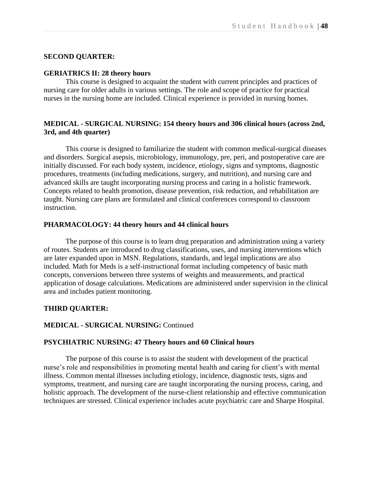## **SECOND QUARTER:**

#### **GERIATRICS II: 28 theory hours**

This course is designed to acquaint the student with current principles and practices of nursing care for older adults in various settings. The role and scope of practice for practical nurses in the nursing home are included. Clinical experience is provided in nursing homes.

## **MEDICAL - SURGICAL NURSING: 154 theory hours and 306 clinical hours (across 2nd, 3rd, and 4th quarter)**

This course is designed to familiarize the student with common medical-surgical diseases and disorders. Surgical asepsis, microbiology, immunology, pre, peri, and postoperative care are initially discussed. For each body system, incidence, etiology, signs and symptoms, diagnostic procedures, treatments (including medications, surgery, and nutrition), and nursing care and advanced skills are taught incorporating nursing process and caring in a holistic framework. Concepts related to health promotion, disease prevention, risk reduction, and rehabilitation are taught. Nursing care plans are formulated and clinical conferences correspond to classroom instruction.

#### **PHARMACOLOGY: 44 theory hours and 44 clinical hours**

The purpose of this course is to learn drug preparation and administration using a variety of routes. Students are introduced to drug classifications, uses, and nursing interventions which are later expanded upon in MSN. Regulations, standards, and legal implications are also included. Math for Meds is a self-instructional format including competency of basic math concepts, conversions between three systems of weights and measurements, and practical application of dosage calculations. Medications are administered under supervision in the clinical area and includes patient monitoring.

#### **THIRD QUARTER:**

## **MEDICAL - SURGICAL NURSING:** Continued

#### **PSYCHIATRIC NURSING: 47 Theory hours and 60 Clinical hours**

The purpose of this course is to assist the student with development of the practical nurse's role and responsibilities in promoting mental health and caring for client's with mental illness. Common mental illnesses including etiology, incidence, diagnostic tests, signs and symptoms, treatment, and nursing care are taught incorporating the nursing process, caring, and holistic approach. The development of the nurse-client relationship and effective communication techniques are stressed. Clinical experience includes acute psychiatric care and Sharpe Hospital.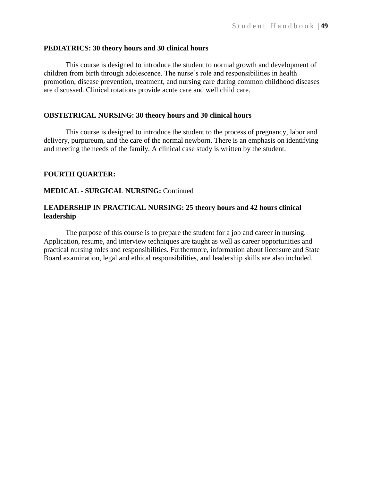## **PEDIATRICS: 30 theory hours and 30 clinical hours**

This course is designed to introduce the student to normal growth and development of children from birth through adolescence. The nurse's role and responsibilities in health promotion, disease prevention, treatment, and nursing care during common childhood diseases are discussed. Clinical rotations provide acute care and well child care.

## **OBSTETRICAL NURSING: 30 theory hours and 30 clinical hours**

This course is designed to introduce the student to the process of pregnancy, labor and delivery, purpureum, and the care of the normal newborn. There is an emphasis on identifying and meeting the needs of the family. A clinical case study is written by the student.

## **FOURTH QUARTER:**

## **MEDICAL - SURGICAL NURSING:** Continued

## **LEADERSHIP IN PRACTICAL NURSING: 25 theory hours and 42 hours clinical leadership**

The purpose of this course is to prepare the student for a job and career in nursing. Application, resume, and interview techniques are taught as well as career opportunities and practical nursing roles and responsibilities. Furthermore, information about licensure and State Board examination, legal and ethical responsibilities, and leadership skills are also included.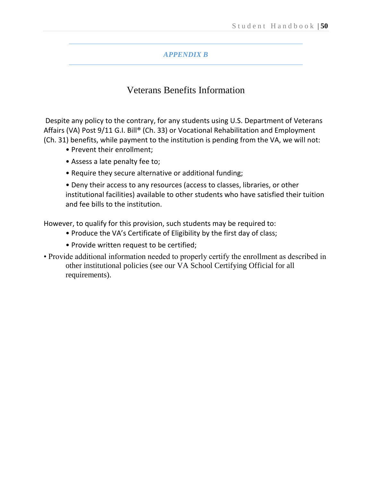## *APPENDIX B*

## Veterans Benefits Information

Despite any policy to the contrary, for any students using U.S. Department of Veterans Affairs (VA) Post 9/11 G.I. Bill® (Ch. 33) or Vocational Rehabilitation and Employment (Ch. 31) benefits, while payment to the institution is pending from the VA, we will not:

- Prevent their enrollment;
- Assess a late penalty fee to;
- Require they secure alternative or additional funding;

• Deny their access to any resources (access to classes, libraries, or other institutional facilities) available to other students who have satisfied their tuition and fee bills to the institution.

However, to qualify for this provision, such students may be required to:

- Produce the VA's Certificate of Eligibility by the first day of class;
- Provide written request to be certified;
- Provide additional information needed to properly certify the enrollment as described in other institutional policies (see our VA School Certifying Official for all requirements).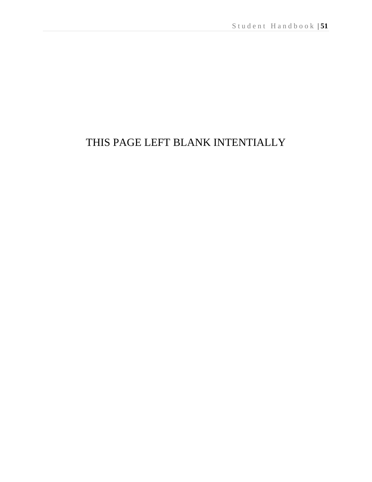# THIS PAGE LEFT BLANK INTENTIALLY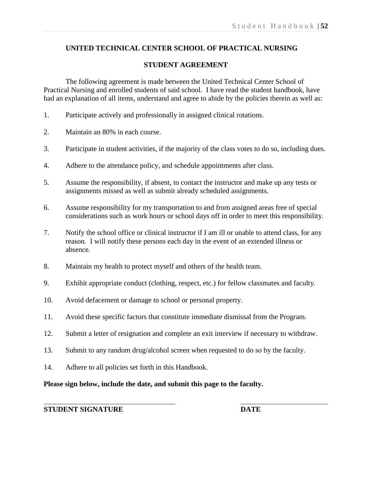## **UNITED TECHNICAL CENTER SCHOOL OF PRACTICAL NURSING**

## **STUDENT AGREEMENT**

The following agreement is made between the United Technical Center School of Practical Nursing and enrolled students of said school. I have read the student handbook, have had an explanation of all items, understand and agree to abide by the policies therein as well as:

- 1. Participate actively and professionally in assigned clinical rotations.
- 2. Maintain an 80% in each course.
- 3. Participate in student activities, if the majority of the class votes to do so, including dues.
- 4. Adhere to the attendance policy, and schedule appointments after class.
- 5. Assume the responsibility, if absent, to contact the instructor and make up any tests or assignments missed as well as submit already scheduled assignments.
- 6. Assume responsibility for my transportation to and from assigned areas free of special considerations such as work hours or school days off in order to meet this responsibility.
- 7. Notify the school office or clinical instructor if I am ill or unable to attend class, for any reason. I will notify these persons each day in the event of an extended illness or absence.
- 8. Maintain my health to protect myself and others of the health team.
- 9. Exhibit appropriate conduct (clothing, respect, etc.) for fellow classmates and faculty.
- 10. Avoid defacement or damage to school or personal property.
- 11. Avoid these specific factors that constitute immediate dismissal from the Program.
- 12. Submit a letter of resignation and complete an exit interview if necessary to withdraw.
- 13. Submit to any random drug/alcohol screen when requested to do so by the faculty.
- 14. Adhere to all policies set forth in this Handbook.

## **Please sign below, include the date, and submit this page to the faculty.**

**STUDENT SIGNATURE DATE**